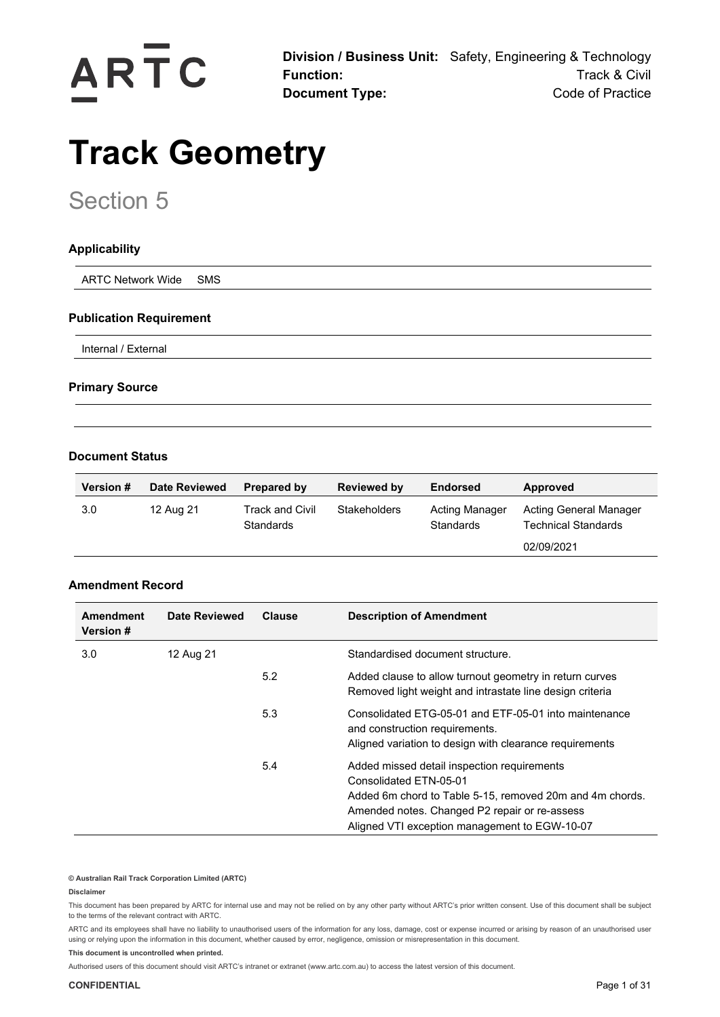

**Division / Business Unit:** Safety, Engineering & Technology **Function:** Track & Civil **Document Type:** Code of Practice

# **Track Geometry**

# Section 5

# **Applicability**

ARTC Network Wide SMS

## **Publication Requirement**

Internal / External

## **Primary Source**

## **Document Status**

| <b>Version #</b> | <b>Date Reviewed</b> | Prepared by                         | <b>Reviewed by</b>  | <b>Endorsed</b>             | Approved                                             |
|------------------|----------------------|-------------------------------------|---------------------|-----------------------------|------------------------------------------------------|
| 3.0              | 12 Aug 21            | Track and Civil<br><b>Standards</b> | <b>Stakeholders</b> | Acting Manager<br>Standards | Acting General Manager<br><b>Technical Standards</b> |
|                  |                      |                                     |                     |                             | 02/09/2021                                           |

## **Amendment Record**

| <b>Amendment</b><br><b>Version #</b> | Date Reviewed | <b>Clause</b> | <b>Description of Amendment</b>                                                                                                                                                                                                     |
|--------------------------------------|---------------|---------------|-------------------------------------------------------------------------------------------------------------------------------------------------------------------------------------------------------------------------------------|
| 3.0                                  | 12 Aug 21     |               | Standardised document structure.                                                                                                                                                                                                    |
|                                      |               | 5.2           | Added clause to allow turnout geometry in return curves<br>Removed light weight and intrastate line design criteria                                                                                                                 |
|                                      |               | 5.3           | Consolidated FTG-05-01 and FTF-05-01 into maintenance<br>and construction requirements.<br>Aligned variation to design with clearance requirements                                                                                  |
|                                      |               | 5.4           | Added missed detail inspection requirements<br>Consolidated FTN-05-01<br>Added 6m chord to Table 5-15, removed 20m and 4m chords.<br>Amended notes. Changed P2 repair or re-assess<br>Aligned VTI exception management to EGW-10-07 |

## **© Australian Rail Track Corporation Limited (ARTC)**

## **Disclaimer**

This document has been prepared by ARTC for internal use and may not be relied on by any other party without ARTC's prior written consent. Use of this document shall be subject to the terms of the relevant contract with ARTC.

ARTC and its employees shall have no liability to unauthorised users of the information for any loss, damage, cost or expense incurred or arising by reason of an unauthorised user using or relying upon the information in this document, whether caused by error, negligence, omission or misrepresentation in this document.

**This document is uncontrolled when printed.** 

Authorised users of this document should visit ARTC's intranet or extranet [\(www.artc.com.au\)](http://www.artc.com.au/) to access the latest version of this document.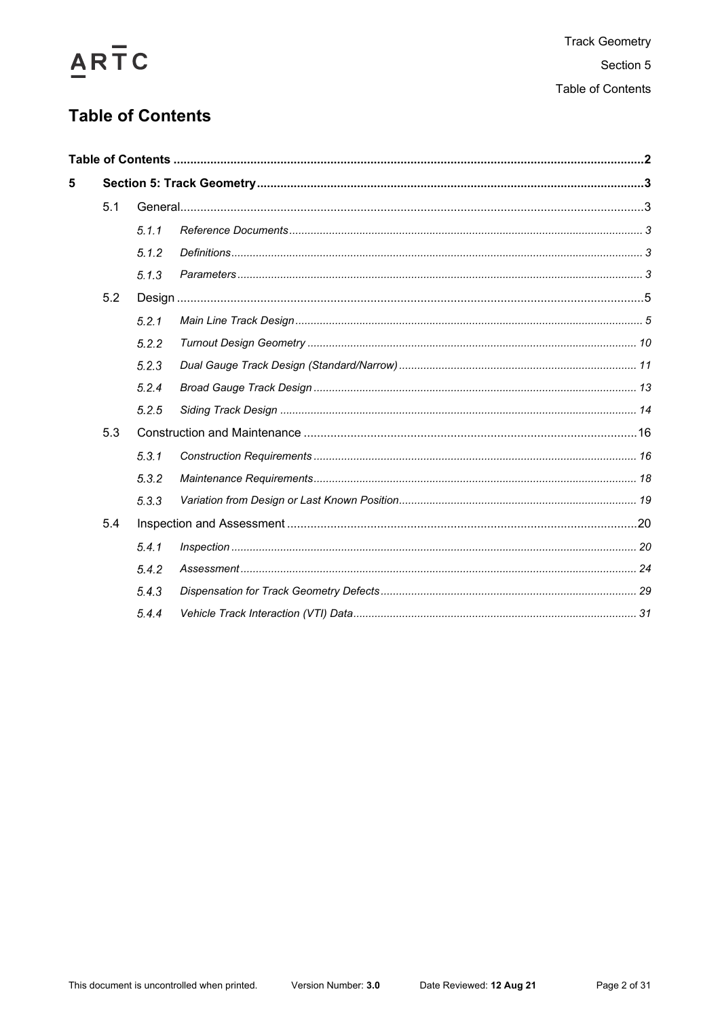# ARTC

# <span id="page-1-0"></span>**Table of Contents**

| 5 |     |       |  |  |
|---|-----|-------|--|--|
|   | 5.1 |       |  |  |
|   |     | 5.1.1 |  |  |
|   |     | 5.1.2 |  |  |
|   |     | 5.1.3 |  |  |
|   | 5.2 |       |  |  |
|   |     | 5.2.1 |  |  |
|   |     | 5.2.2 |  |  |
|   |     | 5.2.3 |  |  |
|   |     | 5.2.4 |  |  |
|   |     | 5.2.5 |  |  |
|   | 5.3 |       |  |  |
|   |     | 5.3.1 |  |  |
|   |     | 5.3.2 |  |  |
|   |     | 5.3.3 |  |  |
|   | 5.4 |       |  |  |
|   |     | 5.4.1 |  |  |
|   |     | 5.4.2 |  |  |
|   |     | 5.4.3 |  |  |
|   |     | 5.4.4 |  |  |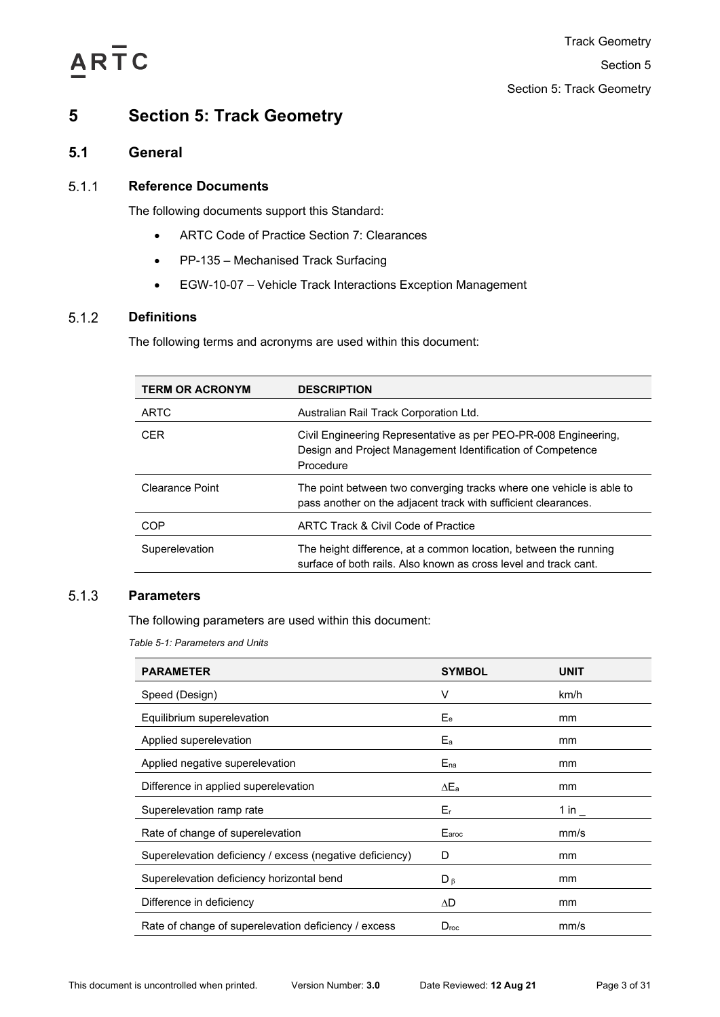

# <span id="page-2-0"></span>**5 Section 5: Track Geometry**

# <span id="page-2-1"></span>**5.1 General**

## <span id="page-2-2"></span> $5.1.1$ **Reference Documents**

The following documents support this Standard:

- ARTC Code of Practice Section 7: Clearances
- PP-135 Mechanised Track Surfacing
- EGW-10-07 Vehicle Track Interactions Exception Management

## <span id="page-2-3"></span> $5.1.2$ **Definitions**

The following terms and acronyms are used within this document:

| <b>TERM OR ACRONYM</b> | <b>DESCRIPTION</b>                                                                                                                         |
|------------------------|--------------------------------------------------------------------------------------------------------------------------------------------|
| <b>ARTC</b>            | Australian Rail Track Corporation Ltd.                                                                                                     |
| <b>CER</b>             | Civil Engineering Representative as per PEO-PR-008 Engineering.<br>Design and Project Management Identification of Competence<br>Procedure |
| Clearance Point        | The point between two converging tracks where one vehicle is able to<br>pass another on the adjacent track with sufficient clearances.     |
| COP                    | ARTC Track & Civil Code of Practice                                                                                                        |
| Superelevation         | The height difference, at a common location, between the running<br>surface of both rails. Also known as cross level and track cant.       |

## <span id="page-2-5"></span><span id="page-2-4"></span> $5.1.3$ **Parameters**

The following parameters are used within this document:

*Table 5-1: Parameters and Units*

| <b>PARAMETER</b>                                         | <b>SYMBOL</b>    | <b>UNIT</b>         |
|----------------------------------------------------------|------------------|---------------------|
| Speed (Design)                                           | V                | km/h                |
| Equilibrium superelevation                               | $E_e$            | mm                  |
| Applied superelevation                                   | $E_{a}$          | mm                  |
| Applied negative superelevation                          | $E_{na}$         | mm                  |
| Difference in applied superelevation                     | $\Delta E_a$     | mm                  |
| Superelevation ramp rate                                 | $E_{r}$          | 1 in $\overline{a}$ |
| Rate of change of superelevation                         | Earoc            | mm/s                |
| Superelevation deficiency / excess (negative deficiency) | D                | mm                  |
| Superelevation deficiency horizontal bend                | $D_{\beta}$      | mm                  |
| Difference in deficiency                                 | ΔD               | mm                  |
| Rate of change of superelevation deficiency / excess     | $D_{\text{roc}}$ | mm/s                |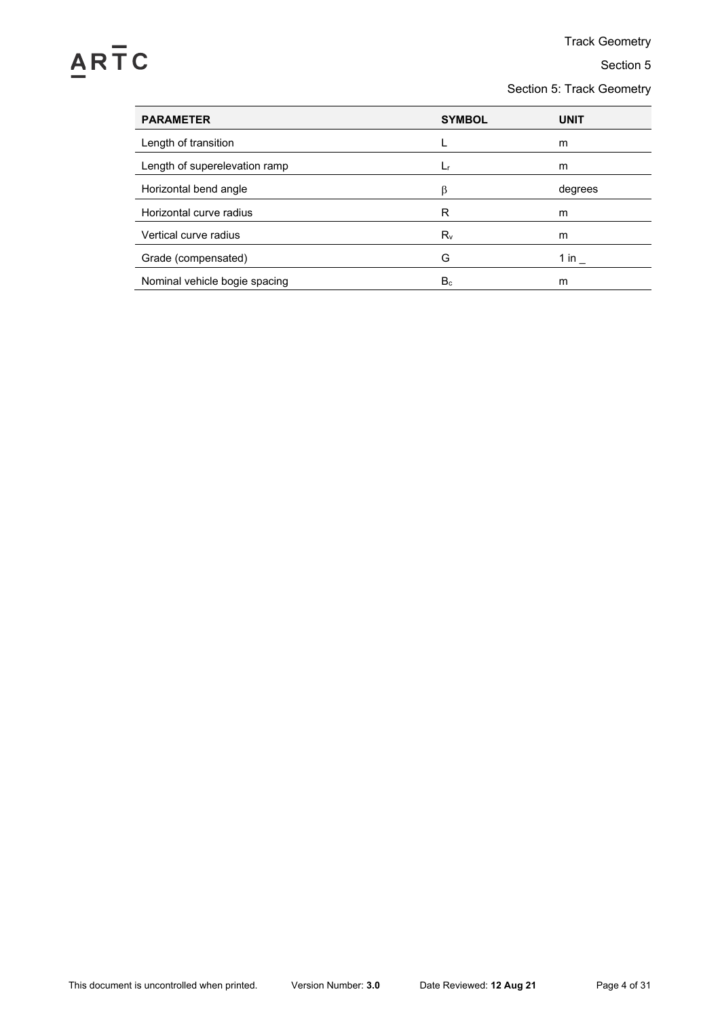# ARTC

Track Geometry

Section 5

Section 5: Track Geometry

| <b>SYMBOL</b> | <b>UNIT</b> |
|---------------|-------------|
|               | m           |
| Lr            | m           |
| ß             | degrees     |
| R             | m           |
| $R_v$         | m           |
| G             | 1 in        |
| $B_c$         | m           |
|               |             |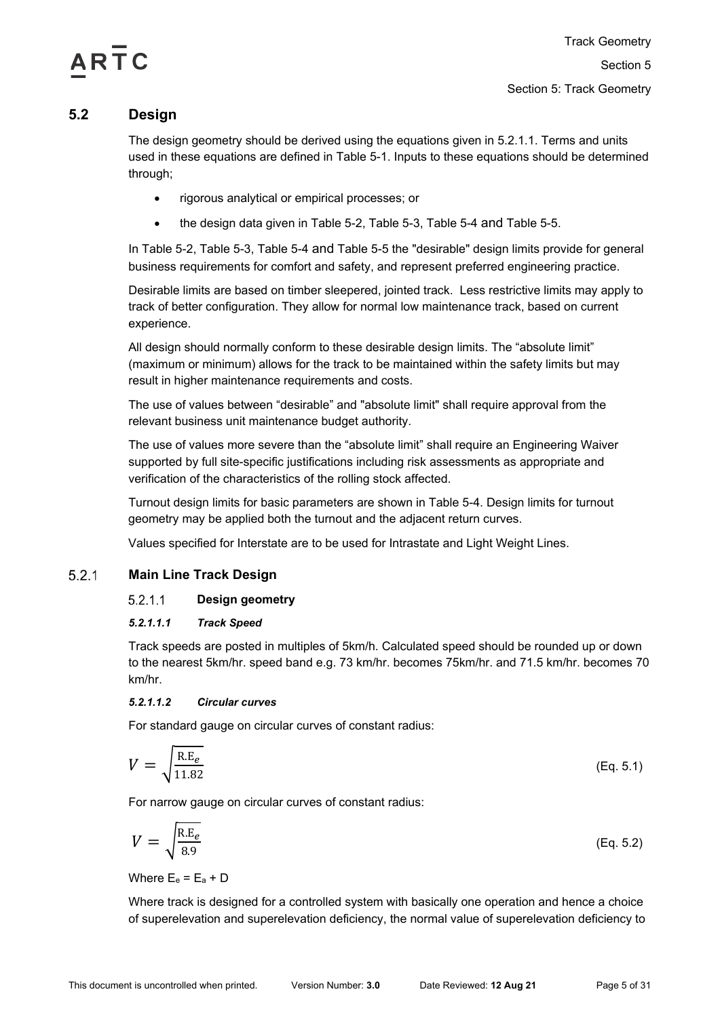# $AR<sub>1</sub>$  $C$

# <span id="page-4-0"></span>**5.2 Design**

The design geometry should be derived using the equations given in [5.2.1.1.](#page-4-2) Terms and units used in these equations are defined in [Table 5-1.](#page-2-5) Inputs to these equations should be determined through;

- rigorous analytical or empirical processes; or
- the design data given in [Table 5-2,](#page-7-0) [Table 5-3,](#page-8-0) [Table 5-4](#page-9-1) and [Table 5-5.](#page-10-1)

In [Table 5-2,](#page-7-0) [Table 5-3,](#page-8-0) [Table 5-4](#page-9-1) and [Table 5-5](#page-10-1) the "desirable" design limits provide for general business requirements for comfort and safety, and represent preferred engineering practice.

Desirable limits are based on timber sleepered, jointed track. Less restrictive limits may apply to track of better configuration. They allow for normal low maintenance track, based on current experience.

All design should normally conform to these desirable design limits. The "absolute limit" (maximum or minimum) allows for the track to be maintained within the safety limits but may result in higher maintenance requirements and costs.

The use of values between "desirable" and "absolute limit" shall require approval from the relevant business unit maintenance budget authority.

The use of values more severe than the "absolute limit" shall require an Engineering Waiver supported by full site-specific justifications including risk assessments as appropriate and verification of the characteristics of the rolling stock affected.

Turnout design limits for basic parameters are shown in [Table 5-4.](#page-9-1) Design limits for turnout geometry may be applied both the turnout and the adjacent return curves.

Values specified for Interstate are to be used for Intrastate and Light Weight Lines.

## <span id="page-4-2"></span><span id="page-4-1"></span> $5.2.1$ **Main Line Track Design**

## $5.2.1.1$ **Design geometry**

# *5.2.1.1.1 Track Speed*

Track speeds are posted in multiples of 5km/h. Calculated speed should be rounded up or down to the nearest 5km/hr. speed band e.g. 73 km/hr. becomes 75km/hr. and 71.5 km/hr. becomes 70 km/hr.

# <span id="page-4-3"></span>*5.2.1.1.2 Circular curves*

For standard gauge on circular curves of constant radius:

$$
V = \sqrt{\frac{\text{R.E}_e}{11.82}}
$$
 (Eq. 5.1)

For narrow gauge on circular curves of constant radius:

$$
V = \sqrt{\frac{\text{R.E}_e}{8.9}}\tag{Eq. 5.2}
$$

Where  $E_e = E_a + D$ 

Where track is designed for a controlled system with basically one operation and hence a choice of superelevation and superelevation deficiency, the normal value of superelevation deficiency to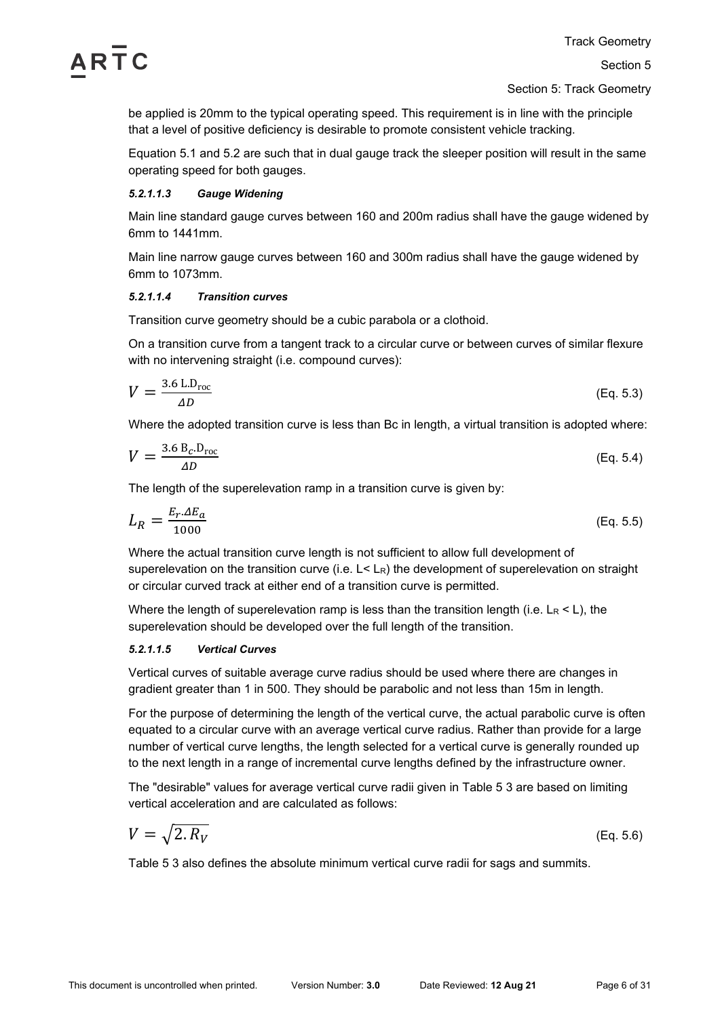

Section 5: Track Geometry

be applied is 20mm to the typical operating speed. This requirement is in line with the principle that a level of positive deficiency is desirable to promote consistent vehicle tracking.

Equation 5.1 and 5.2 are such that in dual gauge track the sleeper position will result in the same operating speed for both gauges.

## *5.2.1.1.3 Gauge Widening*

Main line standard gauge curves between 160 and 200m radius shall have the gauge widened by 6mm to 1441mm.

Main line narrow gauge curves between 160 and 300m radius shall have the gauge widened by 6mm to 1073mm.

## *5.2.1.1.4 Transition curves*

Transition curve geometry should be a cubic parabola or a clothoid.

On a transition curve from a tangent track to a circular curve or between curves of similar flexure with no intervening straight (i.e. compound curves):

$$
V = \frac{3.6 \text{ L.D}_{\text{roc}}}{\Delta D} \tag{Eq. 5.3}
$$

Where the adopted transition curve is less than Bc in length, a virtual transition is adopted where:

$$
V = \frac{3.6 \, \text{B}_c \cdot \text{D}_{\text{roc}}}{\Delta D} \tag{Eq. 5.4}
$$

The length of the superelevation ramp in a transition curve is given by:

$$
L_R = \frac{E_r \Delta E_a}{1000} \tag{Eq. 5.5}
$$

Where the actual transition curve length is not sufficient to allow full development of superelevation on the transition curve (i.e.  $L < L<sub>R</sub>$ ) the development of superelevation on straight or circular curved track at either end of a transition curve is permitted.

Where the length of superelevation ramp is less than the transition length (i.e.  $L_R < L$ ), the superelevation should be developed over the full length of the transition.

# *5.2.1.1.5 Vertical Curves*

Vertical curves of suitable average curve radius should be used where there are changes in gradient greater than 1 in 500. They should be parabolic and not less than 15m in length.

For the purpose of determining the length of the vertical curve, the actual parabolic curve is often equated to a circular curve with an average vertical curve radius. Rather than provide for a large number of vertical curve lengths, the length selected for a vertical curve is generally rounded up to the next length in a range of incremental curve lengths defined by the infrastructure owner.

The "desirable" values for average vertical curve radii given in Table 5 3 are based on limiting vertical acceleration and are calculated as follows:

$$
V = \sqrt{2.R_V}
$$
 (Eq. 5.6)

Table 5 3 also defines the absolute minimum vertical curve radii for sags and summits.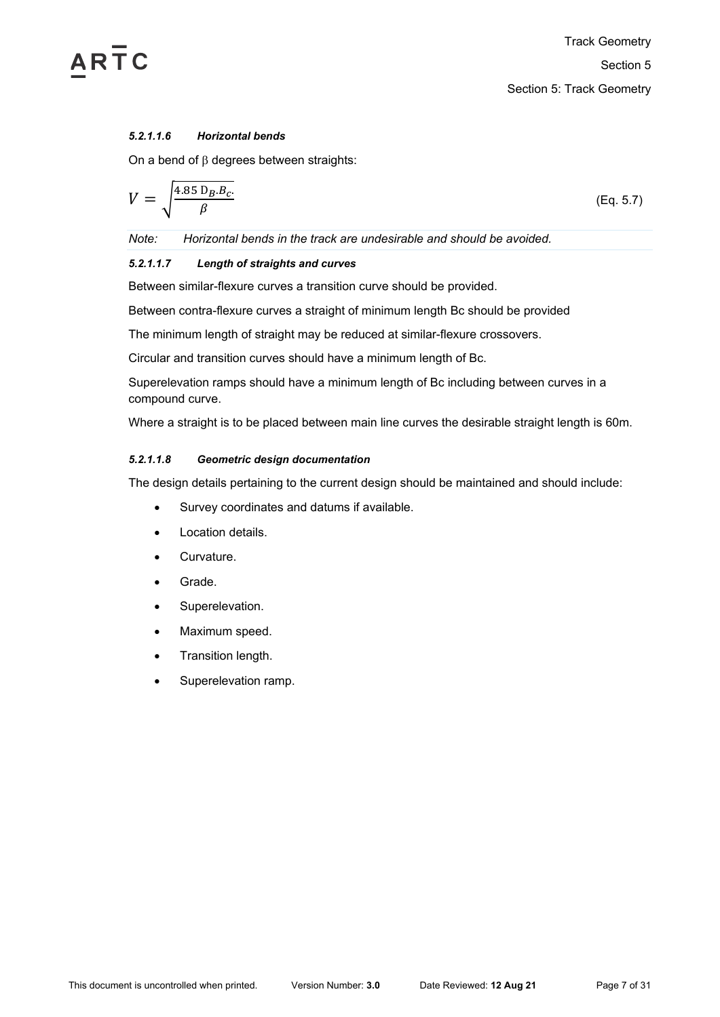

## *5.2.1.1.6 Horizontal bends*

On a bend of β degrees between straights:

$$
V = \sqrt{\frac{4.85 \, D_B.B_c}{\beta}}
$$
 (Eq. 5.7)

*Note: Horizontal bends in the track are undesirable and should be avoided.*

# *5.2.1.1.7 Length of straights and curves*

Between similar-flexure curves a transition curve should be provided.

Between contra-flexure curves a straight of minimum length Bc should be provided

The minimum length of straight may be reduced at similar-flexure crossovers.

Circular and transition curves should have a minimum length of Bc.

Superelevation ramps should have a minimum length of Bc including between curves in a compound curve.

Where a straight is to be placed between main line curves the desirable straight length is 60m.

## *5.2.1.1.8 Geometric design documentation*

The design details pertaining to the current design should be maintained and should include:

- Survey coordinates and datums if available.
- Location details.
- Curvature.
- Grade.
- Superelevation.
- Maximum speed.
- Transition length.
- Superelevation ramp.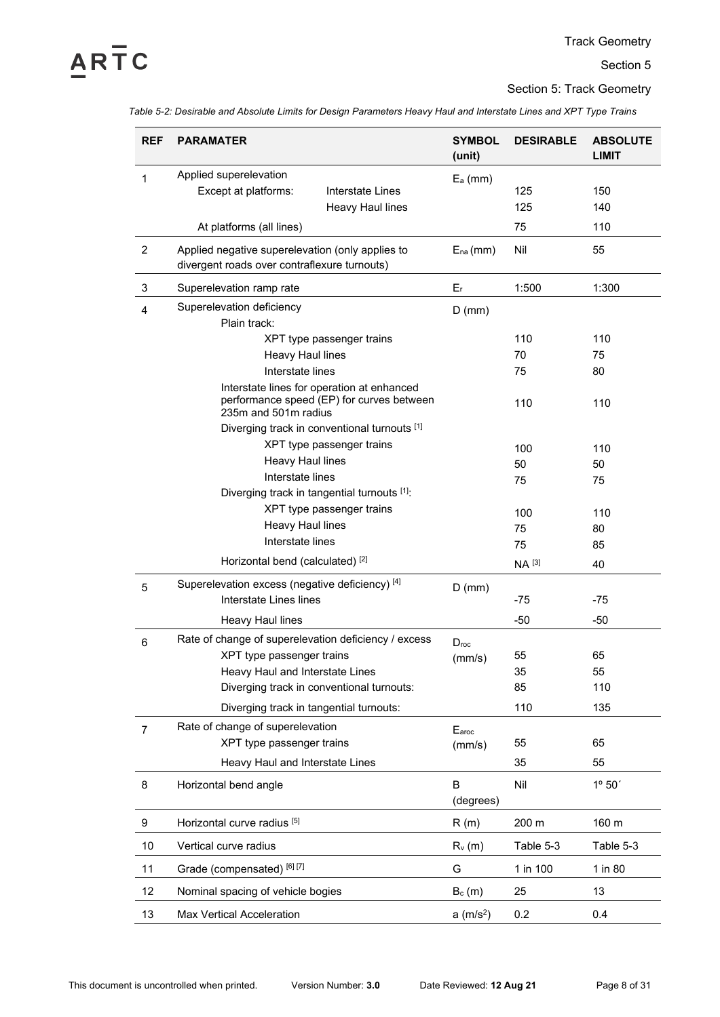# $\overline{AR}$   $\overline{T}$   $C$

Section 5: Track Geometry

<span id="page-7-0"></span>*Table 5-2: Desirable and Absolute Limits for Design Parameters Heavy Haul and Interstate Lines and XPT Type Trains*

| <b>REF</b>     | <b>PARAMATER</b>                                                                                                                                                  | <b>SYMBOL</b><br>(unit)    | <b>DESIRABLE</b>         | <b>ABSOLUTE</b><br><b>LIMIT</b> |
|----------------|-------------------------------------------------------------------------------------------------------------------------------------------------------------------|----------------------------|--------------------------|---------------------------------|
| $\mathbf{1}$   | Applied superelevation<br>Except at platforms:<br>Interstate Lines<br>Heavy Haul lines                                                                            | $E_a$ (mm)                 | 125<br>125               | 150<br>140                      |
|                | At platforms (all lines)                                                                                                                                          |                            | 75                       | 110                             |
| $\overline{2}$ | Applied negative superelevation (only applies to<br>divergent roads over contraflexure turnouts)                                                                  | $E_{na}(mm)$               | Nil                      | 55                              |
| 3              | Superelevation ramp rate                                                                                                                                          | $E_r$                      | 1:500                    | 1:300                           |
| 4              | Superelevation deficiency<br>Plain track:                                                                                                                         | $D$ (mm)                   |                          |                                 |
|                | XPT type passenger trains                                                                                                                                         |                            | 110                      | 110                             |
|                | Heavy Haul lines                                                                                                                                                  |                            | 70                       | 75                              |
|                | Interstate lines                                                                                                                                                  |                            | 75                       | 80                              |
|                | Interstate lines for operation at enhanced<br>performance speed (EP) for curves between<br>235m and 501m radius<br>Diverging track in conventional turnouts [1]   |                            | 110                      | 110                             |
|                | XPT type passenger trains                                                                                                                                         |                            | 100                      | 110                             |
|                | Heavy Haul lines                                                                                                                                                  |                            | 50                       | 50                              |
|                | Interstate lines                                                                                                                                                  |                            | 75                       | 75                              |
|                | Diverging track in tangential turnouts [1]:                                                                                                                       |                            |                          |                                 |
|                | XPT type passenger trains                                                                                                                                         |                            | 100                      | 110                             |
|                | Heavy Haul lines                                                                                                                                                  |                            | 75                       | 80                              |
|                | Interstate lines                                                                                                                                                  |                            | 75                       | 85                              |
|                | Horizontal bend (calculated) <sup>[2]</sup>                                                                                                                       |                            | <b>NA</b> <sup>[3]</sup> | 40                              |
| 5              | Superelevation excess (negative deficiency) [4]<br>Interstate Lines lines                                                                                         | $D$ (mm)                   | -75                      | -75                             |
|                | <b>Heavy Haul lines</b>                                                                                                                                           |                            | -50                      | $-50$                           |
| 6              | Rate of change of superelevation deficiency / excess<br>XPT type passenger trains<br>Heavy Haul and Interstate Lines<br>Diverging track in conventional turnouts: | $D_{\text{roc}}$<br>(mm/s) | 55<br>35<br>85           | 65<br>55<br>110                 |
|                | Diverging track in tangential turnouts:                                                                                                                           |                            | 110                      | 135                             |
| $\overline{7}$ | Rate of change of superelevation<br>XPT type passenger trains                                                                                                     | Earoc<br>(mm/s)            | 55                       | 65                              |
|                | Heavy Haul and Interstate Lines                                                                                                                                   |                            | 35                       | 55                              |
| 8              | Horizontal bend angle                                                                                                                                             | B<br>(degrees)             | Nil                      | $1^{\circ} 50'$                 |
| 9              | Horizontal curve radius <sup>[5]</sup>                                                                                                                            | R(m)                       | 200 m                    | 160 m                           |
| 10             | Vertical curve radius                                                                                                                                             | $R_v(m)$                   | Table 5-3                | Table 5-3                       |
| 11             | Grade (compensated) [6] [7]                                                                                                                                       | G                          | 1 in 100                 | 1 in 80                         |
| 12             | Nominal spacing of vehicle bogies                                                                                                                                 | $B_c(m)$                   | 25                       | 13                              |
| 13             | <b>Max Vertical Acceleration</b>                                                                                                                                  | a (m/s <sup>2</sup> )      | 0.2                      | 0.4                             |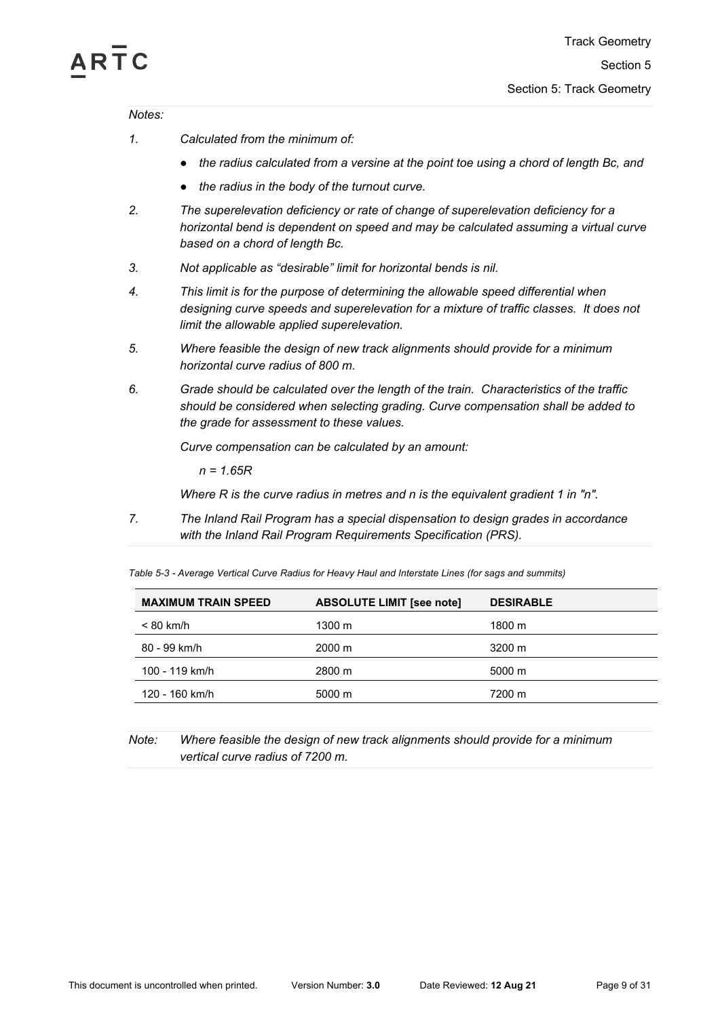# RTC

*Notes:*

- *1. Calculated from the minimum of:* 
	- *● the radius calculated from a versine at the point toe using a chord of length Bc, and*
	- *● the radius in the body of the turnout curve.*
- *2. The superelevation deficiency or rate of change of superelevation deficiency for a horizontal bend is dependent on speed and may be calculated assuming a virtual curve based on a chord of length Bc.*
- *3. Not applicable as "desirable" limit for horizontal bends is nil.*
- *4. This limit is for the purpose of determining the allowable speed differential when designing curve speeds and superelevation for a mixture of traffic classes. It does not limit the allowable applied superelevation.*
- *5. Where feasible the design of new track alignments should provide for a minimum horizontal curve radius of 800 m.*
- *6. Grade should be calculated over the length of the train. Characteristics of the traffic should be considered when selecting grading. Curve compensation shall be added to the grade for assessment to these values.*

*Curve compensation can be calculated by an amount:*

*n = 1.65R*

*Where R is the curve radius in metres and n is the equivalent gradient 1 in "n".*

*7. The Inland Rail Program has a special dispensation to design grades in accordance with the Inland Rail Program Requirements Specification (PRS).*

<span id="page-8-0"></span>*Table 5-3 - Average Vertical Curve Radius for Heavy Haul and Interstate Lines (for sags and summits)*

| <b>MAXIMUM TRAIN SPEED</b> | <b>ABSOLUTE LIMIT [see note]</b> | <b>DESIRABLE</b>   |
|----------------------------|----------------------------------|--------------------|
| < 80 km/h                  | 1300 m                           | 1800 m             |
| 80 - 99 km/h               | $2000 \;{\rm m}$                 | 3200 m             |
| 100 - 119 km/h             | 2800 m                           | $5000 \; \text{m}$ |
| 120 - 160 km/h             | 5000 m                           | 7200 m             |
|                            |                                  |                    |

# *Note: Where feasible the design of new track alignments should provide for a minimum vertical curve radius of 7200 m.*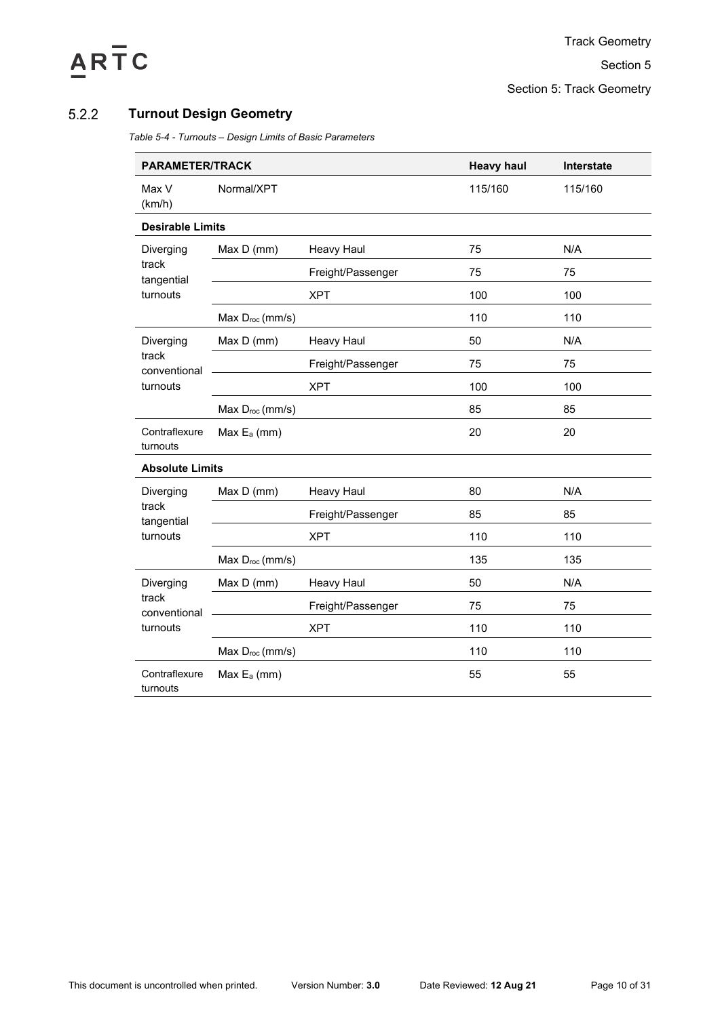# ARTC

Section 5: Track Geometry

## <span id="page-9-1"></span><span id="page-9-0"></span> $5.2.2$ **Turnout Design Geometry**

*Table 5-4 - Turnouts – Design Limits of Basic Parameters*

| <b>PARAMETER/TRACK</b>    |                             |                   | <b>Heavy haul</b> | Interstate |
|---------------------------|-----------------------------|-------------------|-------------------|------------|
| Max V<br>(km/h)           | Normal/XPT                  |                   | 115/160           | 115/160    |
| <b>Desirable Limits</b>   |                             |                   |                   |            |
| Diverging                 | Max D (mm)                  | <b>Heavy Haul</b> | 75                | N/A        |
| track<br>tangential       |                             | Freight/Passenger | 75                | 75         |
| turnouts                  |                             | <b>XPT</b>        | 100               | 100        |
|                           | Max Droc (mm/s)             |                   | 110               | 110        |
| Diverging                 | Max D (mm)                  | <b>Heavy Haul</b> | 50                | N/A        |
| track<br>conventional     |                             | Freight/Passenger | 75                | 75         |
| turnouts                  |                             | <b>XPT</b>        | 100               | 100        |
|                           | Max Droc (mm/s)             |                   | 85                | 85         |
| Contraflexure<br>turnouts | Max E <sub>a</sub> (mm)     |                   | 20                | 20         |
| <b>Absolute Limits</b>    |                             |                   |                   |            |
| Diverging                 | Max D (mm)                  | Heavy Haul        | 80                | N/A        |
| track<br>tangential       |                             | Freight/Passenger | 85                | 85         |
| turnouts                  |                             | <b>XPT</b>        | 110               | 110        |
|                           | Max $D_{\text{roc}}$ (mm/s) |                   | 135               | 135        |
| Diverging                 | Max D (mm)                  | <b>Heavy Haul</b> | 50                | N/A        |
| track<br>conventional     |                             | Freight/Passenger | 75                | 75         |
| turnouts                  |                             | <b>XPT</b>        | 110               | 110        |
|                           | Max $D_{\text{roc}}$ (mm/s) |                   | 110               | 110        |
| Contraflexure<br>turnouts | Max E <sub>a</sub> (mm)     |                   | 55                | 55         |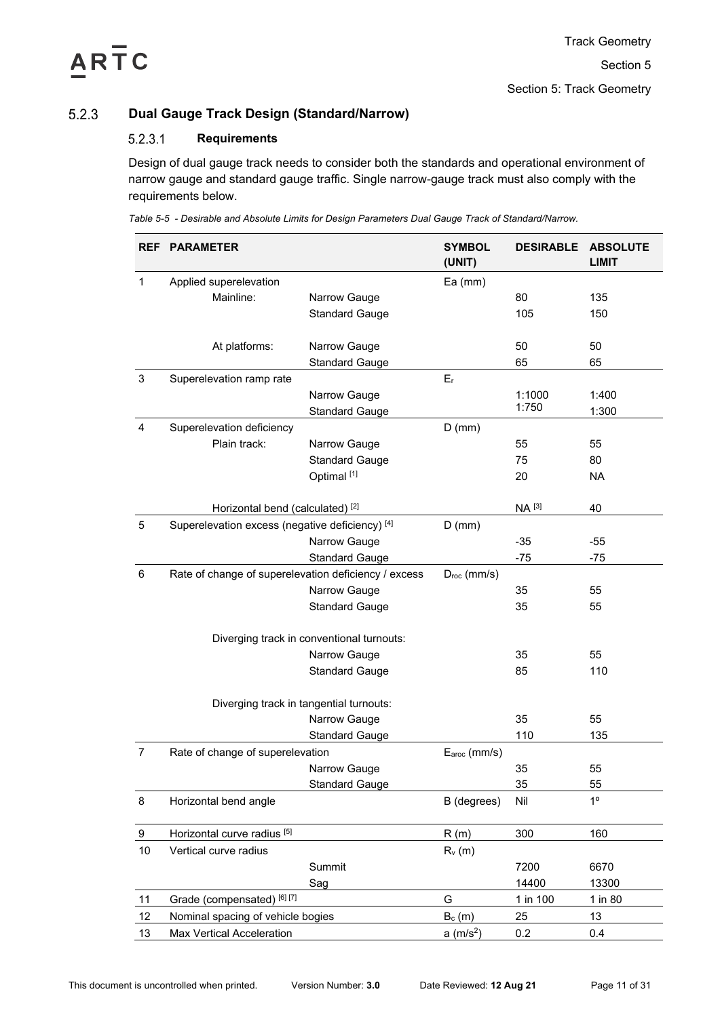# Section 5: Track Geometry

## <span id="page-10-0"></span>**Dual Gauge Track Design (Standard/Narrow)**  $5.2.3$

## $5.2.3.1$ **Requirements**

Design of dual gauge track needs to consider both the standards and operational environment of narrow gauge and standard gauge traffic. Single narrow-gauge track must also comply with the requirements below.

<span id="page-10-1"></span>*Table 5-5 - Desirable and Absolute Limits for Design Parameters Dual Gauge Track of Standard/Narrow.*

| <b>REF</b>     | <b>PARAMETER</b>                                     |                                         | <b>SYMBOL</b><br>(UNIT) | <b>DESIRABLE</b> | <b>ABSOLUTE</b><br><b>LIMIT</b> |
|----------------|------------------------------------------------------|-----------------------------------------|-------------------------|------------------|---------------------------------|
| $\mathbf{1}$   | Applied superelevation                               |                                         | $Ea$ (mm)               |                  |                                 |
|                | Mainline:                                            | Narrow Gauge                            |                         | 80               | 135                             |
|                |                                                      | <b>Standard Gauge</b>                   |                         | 105              | 150                             |
|                | At platforms:                                        | Narrow Gauge                            |                         | 50               | 50                              |
|                |                                                      | <b>Standard Gauge</b>                   |                         | 65               | 65                              |
| 3              | Superelevation ramp rate                             |                                         | $E_r$                   |                  |                                 |
|                |                                                      | Narrow Gauge                            |                         | 1:1000           | 1:400                           |
|                |                                                      | <b>Standard Gauge</b>                   |                         | 1:750            | 1:300                           |
| $\overline{4}$ | Superelevation deficiency                            |                                         | $D$ (mm)                |                  |                                 |
|                | Plain track:                                         | Narrow Gauge                            |                         | 55               | 55                              |
|                |                                                      | <b>Standard Gauge</b>                   |                         | 75               | 80                              |
|                |                                                      | Optimal <sup>[1]</sup>                  |                         | 20               | <b>NA</b>                       |
|                | Horizontal bend (calculated) <sup>[2]</sup>          |                                         |                         | NA [3]           | 40                              |
| 5              | Superelevation excess (negative deficiency) [4]      |                                         | $D$ (mm)                |                  |                                 |
|                |                                                      | Narrow Gauge                            |                         | $-35$            | $-55$                           |
|                |                                                      | <b>Standard Gauge</b>                   |                         | $-75$            | $-75$                           |
| 6              | Rate of change of superelevation deficiency / excess |                                         | $D_{\text{roc}}$ (mm/s) |                  |                                 |
|                |                                                      | Narrow Gauge                            |                         | 35               | 55                              |
|                |                                                      | <b>Standard Gauge</b>                   |                         | 35               | 55                              |
|                | Diverging track in conventional turnouts:            |                                         |                         |                  |                                 |
|                |                                                      | Narrow Gauge                            |                         | 35               | 55                              |
|                |                                                      | <b>Standard Gauge</b>                   |                         | 85               | 110                             |
|                |                                                      | Diverging track in tangential turnouts: |                         |                  |                                 |
|                |                                                      | Narrow Gauge                            |                         | 35               | 55                              |
|                |                                                      | <b>Standard Gauge</b>                   |                         | 110              | 135                             |
| $\overline{7}$ | Rate of change of superelevation                     |                                         | Earoc (mm/s)            |                  |                                 |
|                |                                                      | Narrow Gauge                            |                         | 35               | 55                              |
|                |                                                      | <b>Standard Gauge</b>                   |                         | 35               | 55                              |
| 8              | Horizontal bend angle                                |                                         | B (degrees)             | Nil              | 1 <sup>0</sup>                  |
| 9              | Horizontal curve radius [5]                          |                                         | R(m)                    | 300              | 160                             |
|                |                                                      |                                         |                         |                  |                                 |
| 10             | Vertical curve radius                                | Summit                                  | $R_v(m)$                | 7200             |                                 |
|                |                                                      |                                         |                         |                  | 6670                            |
|                |                                                      | Sag                                     |                         | 14400            | 13300                           |
| 11             | Grade (compensated) [6] [7]                          |                                         | G                       | 1 in 100         | 1 in 80                         |
| 12             | Nominal spacing of vehicle bogies                    |                                         | $B_c(m)$                | 25               | 13                              |
| 13             | Max Vertical Acceleration                            |                                         | a (m/s <sup>2</sup> )   | 0.2              | 0.4                             |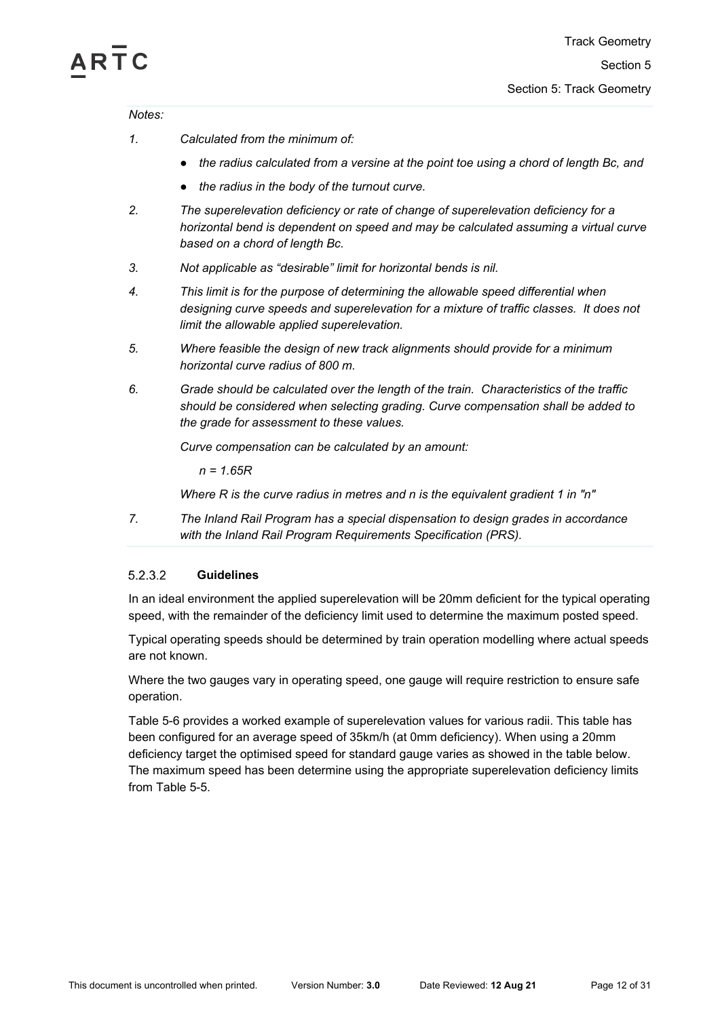# **RTC**

*Notes:*

- *1. Calculated from the minimum of:* 
	- *● the radius calculated from a versine at the point toe using a chord of length Bc, and*
	- *● the radius in the body of the turnout curve.*
- *2. The superelevation deficiency or rate of change of superelevation deficiency for a horizontal bend is dependent on speed and may be calculated assuming a virtual curve based on a chord of length Bc.*
- *3. Not applicable as "desirable" limit for horizontal bends is nil.*
- *4. This limit is for the purpose of determining the allowable speed differential when designing curve speeds and superelevation for a mixture of traffic classes. It does not limit the allowable applied superelevation.*
- *5. Where feasible the design of new track alignments should provide for a minimum horizontal curve radius of 800 m.*
- *6. Grade should be calculated over the length of the train. Characteristics of the traffic should be considered when selecting grading. Curve compensation shall be added to the grade for assessment to these values.*

*Curve compensation can be calculated by an amount:*

*n = 1.65R*

*Where R is the curve radius in metres and n is the equivalent gradient 1 in "n"*

*7. The Inland Rail Program has a special dispensation to design grades in accordance with the Inland Rail Program Requirements Specification (PRS).*

## 5.2.3.2 **Guidelines**

In an ideal environment the applied superelevation will be 20mm deficient for the typical operating speed, with the remainder of the deficiency limit used to determine the maximum posted speed.

Typical operating speeds should be determined by train operation modelling where actual speeds are not known.

Where the two gauges vary in operating speed, one gauge will require restriction to ensure safe operation.

[Table 5-6](#page-12-1) provides a worked example of superelevation values for various radii. This table has been configured for an average speed of 35km/h (at 0mm deficiency). When using a 20mm deficiency target the optimised speed for standard gauge varies as showed in the table below. The maximum speed has been determine using the appropriate superelevation deficiency limits from [Table 5-5.](#page-10-1)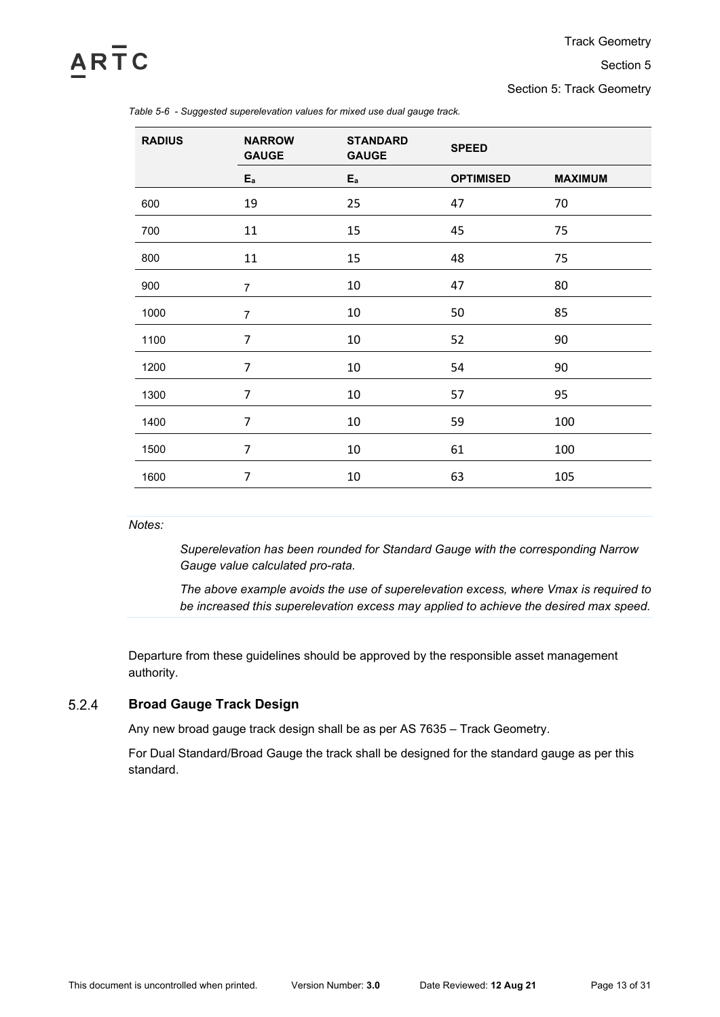# ARTC

# Section 5

Section 5: Track Geometry

| <b>RADIUS</b> | <b>NARROW</b><br><b>GAUGE</b> | <b>STANDARD</b><br><b>GAUGE</b> | <b>SPEED</b>     |                |
|---------------|-------------------------------|---------------------------------|------------------|----------------|
|               | $E_a$                         | $E_a$                           | <b>OPTIMISED</b> | <b>MAXIMUM</b> |
| 600           | 19                            | 25                              | 47               | 70             |
| 700           | 11                            | 15                              | 45               | 75             |
| 800           | 11                            | 15                              | 48               | 75             |
| 900           | $\overline{7}$                | 10                              | 47               | 80             |
| 1000          | $\overline{7}$                | 10                              | 50               | 85             |
| 1100          | $\overline{7}$                | 10                              | 52               | 90             |
| 1200          | $\overline{7}$                | 10                              | 54               | 90             |
| 1300          | 7                             | 10                              | 57               | 95             |
| 1400          | $\overline{7}$                | 10                              | 59               | 100            |
| 1500          | $\overline{7}$                | 10                              | 61               | 100            |
| 1600          | $\overline{7}$                | 10                              | 63               | 105            |

<span id="page-12-1"></span>*Table 5-6 - Suggested superelevation values for mixed use dual gauge track.*

*Notes:*

*Superelevation has been rounded for Standard Gauge with the corresponding Narrow Gauge value calculated pro-rata.*

*The above example avoids the use of superelevation excess, where Vmax is required to be increased this superelevation excess may applied to achieve the desired max speed.*

Departure from these guidelines should be approved by the responsible asset management authority.

## <span id="page-12-0"></span> $5.2.4$ **Broad Gauge Track Design**

Any new broad gauge track design shall be as per AS 7635 – Track Geometry.

For Dual Standard/Broad Gauge the track shall be designed for the standard gauge as per this standard.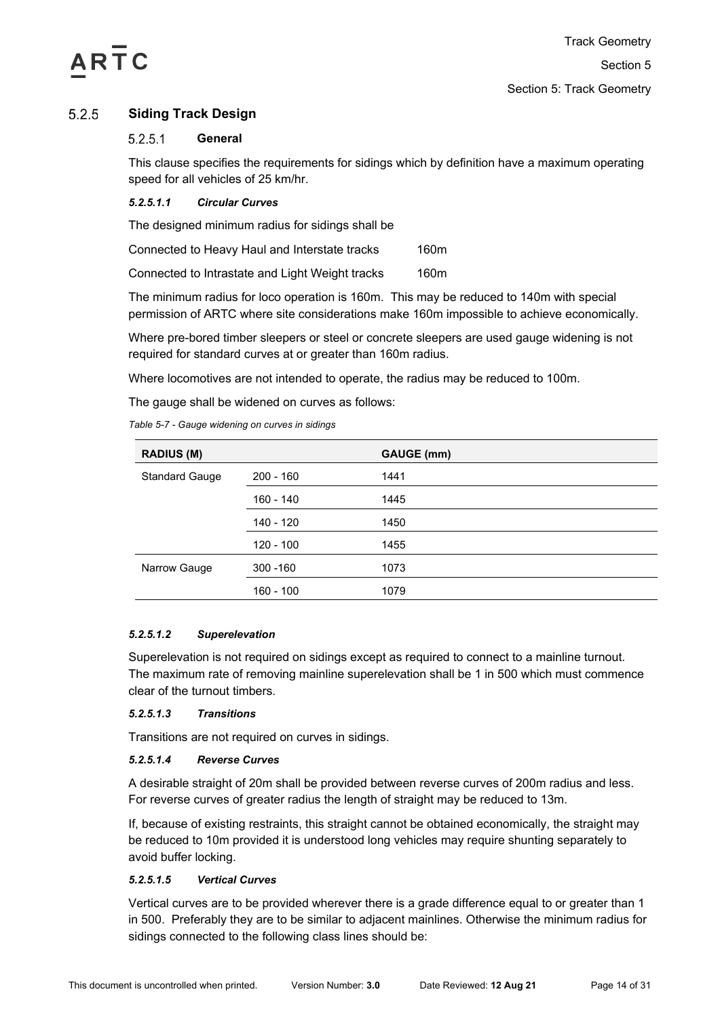

## <span id="page-13-0"></span> $5.2.5$ **Siding Track Design**

## $5.2.5.1$ **General**

This clause specifies the requirements for sidings which by definition have a maximum operating speed for all vehicles of 25 km/hr.

# *5.2.5.1.1 Circular Curves*

The designed minimum radius for sidings shall be

| Connected to Heavy Haul and Interstate tracks   | 160m |
|-------------------------------------------------|------|
| Connected to Intrastate and Light Weight tracks | 160m |

The minimum radius for loco operation is 160m. This may be reduced to 140m with special permission of ARTC where site considerations make 160m impossible to achieve economically.

Where pre-bored timber sleepers or steel or concrete sleepers are used gauge widening is not required for standard curves at or greater than 160m radius.

Where locomotives are not intended to operate, the radius may be reduced to 100m.

The gauge shall be widened on curves as follows:

*Table 5-7 - Gauge widening on curves in sidings*

|             | GAUGE (mm) |
|-------------|------------|
| $200 - 160$ | 1441       |
| 160 - 140   | 1445       |
| 140 - 120   | 1450       |
| 120 - 100   | 1455       |
| $300 - 160$ | 1073       |
| $160 - 100$ | 1079       |
|             |            |

# *5.2.5.1.2 Superelevation*

Superelevation is not required on sidings except as required to connect to a mainline turnout. The maximum rate of removing mainline superelevation shall be 1 in 500 which must commence clear of the turnout timbers.

# *5.2.5.1.3 Transitions*

Transitions are not required on curves in sidings.

# *5.2.5.1.4 Reverse Curves*

A desirable straight of 20m shall be provided between reverse curves of 200m radius and less. For reverse curves of greater radius the length of straight may be reduced to 13m.

If, because of existing restraints, this straight cannot be obtained economically, the straight may be reduced to 10m provided it is understood long vehicles may require shunting separately to avoid buffer locking.

# *5.2.5.1.5 Vertical Curves*

Vertical curves are to be provided wherever there is a grade difference equal to or greater than 1 in 500. Preferably they are to be similar to adjacent mainlines. Otherwise the minimum radius for sidings connected to the following class lines should be: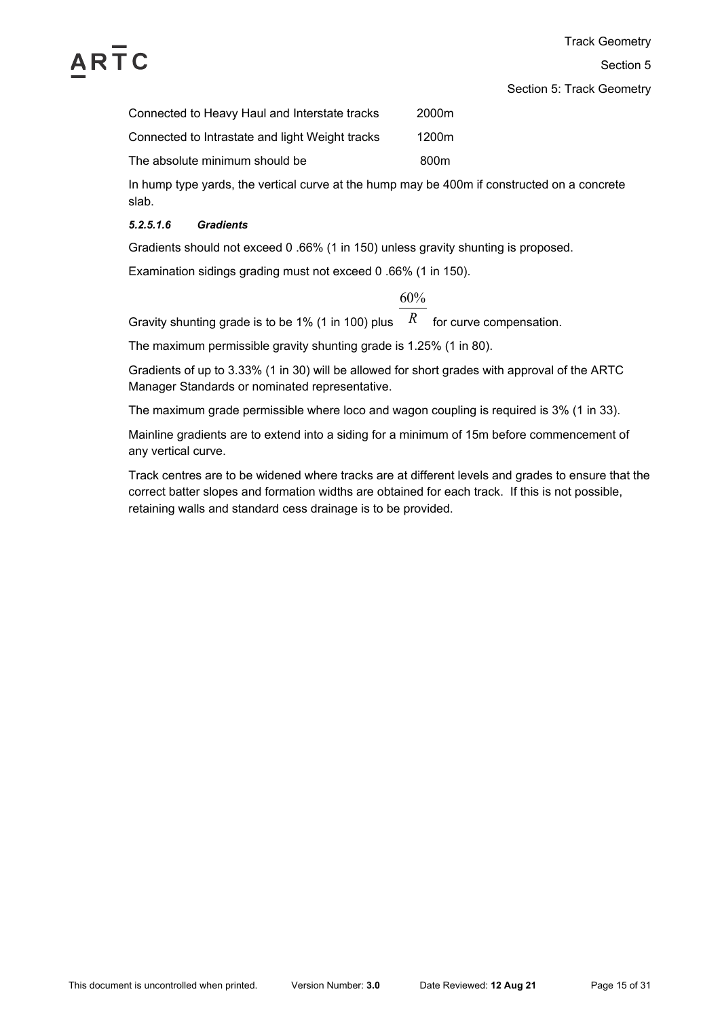

Section 5: Track Geometry

| Connected to Heavy Haul and Interstate tracks   | 2000m            |
|-------------------------------------------------|------------------|
| Connected to Intrastate and light Weight tracks | 1200m            |
| The absolute minimum should be                  | 800 <sub>m</sub> |

In hump type yards, the vertical curve at the hump may be 400m if constructed on a concrete slab.

# *5.2.5.1.6 Gradients*

Gradients should not exceed 0 .66% (1 in 150) unless gravity shunting is proposed.

Examination sidings grading must not exceed 0 .66% (1 in 150).

60%

Gravity shunting grade is to be 1% (1 in 100) plus  $\;\;$   $R$   $\;$  for curve compensation.

The maximum permissible gravity shunting grade is 1.25% (1 in 80).

Gradients of up to 3.33% (1 in 30) will be allowed for short grades with approval of the ARTC Manager Standards or nominated representative.

The maximum grade permissible where loco and wagon coupling is required is 3% (1 in 33).

Mainline gradients are to extend into a siding for a minimum of 15m before commencement of any vertical curve.

Track centres are to be widened where tracks are at different levels and grades to ensure that the correct batter slopes and formation widths are obtained for each track. If this is not possible, retaining walls and standard cess drainage is to be provided.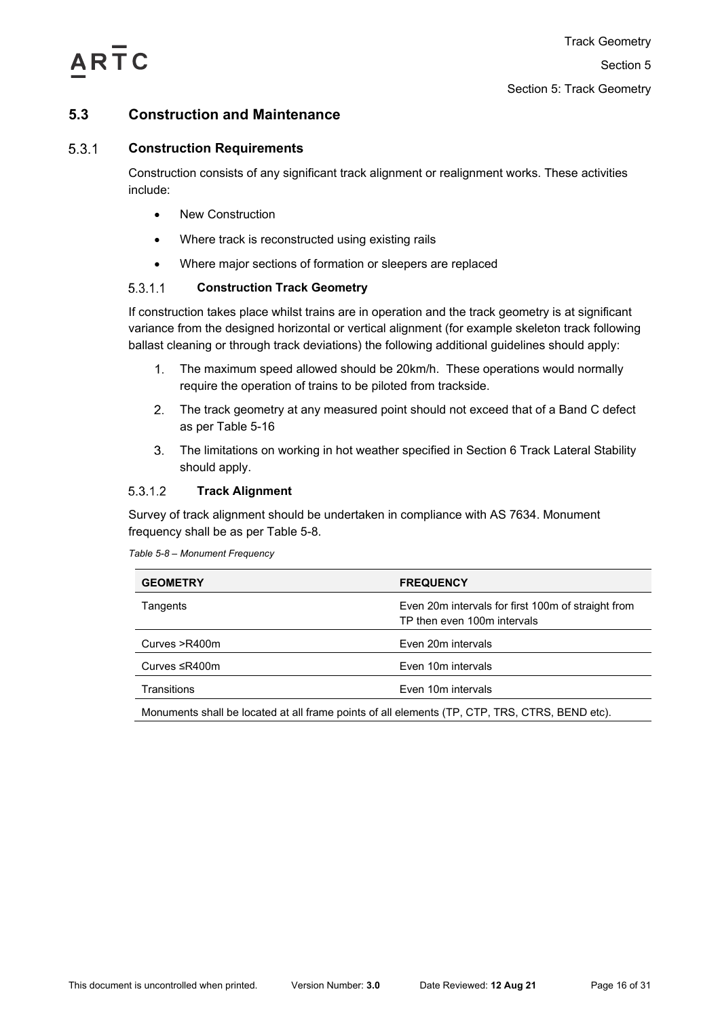

# <span id="page-15-0"></span>**5.3 Construction and Maintenance**

## <span id="page-15-1"></span> $5.3.1$ **Construction Requirements**

Construction consists of any significant track alignment or realignment works. These activities include:

- New Construction
- Where track is reconstructed using existing rails
- Where major sections of formation or sleepers are replaced

## $5.3.1.1$ **Construction Track Geometry**

If construction takes place whilst trains are in operation and the track geometry is at significant variance from the designed horizontal or vertical alignment (for example skeleton track following ballast cleaning or through track deviations) the following additional guidelines should apply:

- $1<sub>1</sub>$ The maximum speed allowed should be 20km/h. These operations would normally require the operation of trains to be piloted from trackside.
- $2.$ The track geometry at any measured point should not exceed that of a Band C defect as per [Table 5-16](#page-26-0)
- $3<sub>1</sub>$ The limitations on working in hot weather specified in Section 6 Track Lateral Stability should apply.

## 5.3.1.2 **Track Alignment**

Survey of track alignment should be undertaken in compliance with AS 7634. Monument frequency shall be as per [Table 5-8.](#page-15-2)

<span id="page-15-2"></span>*Table 5-8 – Monument Frequency*

| <b>GEOMETRY</b>                                                                                | <b>FREQUENCY</b>                                                                  |  |
|------------------------------------------------------------------------------------------------|-----------------------------------------------------------------------------------|--|
| Tangents                                                                                       | Even 20m intervals for first 100m of straight from<br>TP then even 100m intervals |  |
| Curves >R400m                                                                                  | Even 20m intervals                                                                |  |
| Curves ≤R400m                                                                                  | Even 10m intervals                                                                |  |
| Transitions                                                                                    | Even 10m intervals                                                                |  |
| Monuments shall be located at all frame points of all elements (TP, CTP, TRS, CTRS, BEND etc). |                                                                                   |  |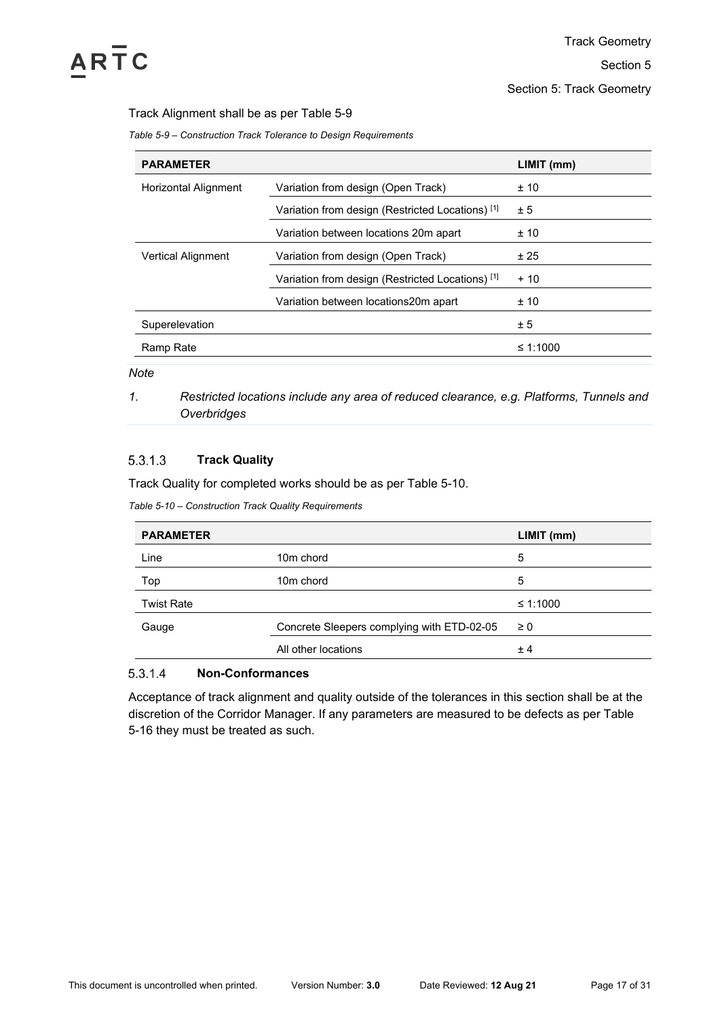

Section 5: Track Geometry

# Track Alignment shall be as per [Table 5-9](#page-16-0)

<span id="page-16-0"></span>*Table 5-9 – Construction Track Tolerance to Design Requirements*

| <b>PARAMETER</b>          |                                                             | LIMIT (mm) |
|---------------------------|-------------------------------------------------------------|------------|
| Horizontal Alignment      | Variation from design (Open Track)                          | ± 10       |
|                           | Variation from design (Restricted Locations) [1]            | ± 5        |
|                           | Variation between locations 20m apart                       | ±10        |
| <b>Vertical Alignment</b> | Variation from design (Open Track)                          | ± 25       |
|                           | Variation from design (Restricted Locations) <sup>[1]</sup> | $+10$      |
|                           | Variation between locations20m apart                        | ±10        |
| Superelevation            |                                                             | ± 5        |
| Ramp Rate                 |                                                             | ≤ 1:1000   |

*Note*

*1. Restricted locations include any area of reduced clearance, e.g. Platforms, Tunnels and Overbridges*

## $5.3.1.3$ **Track Quality**

Track Quality for completed works should be as per [Table 5-10.](#page-16-1)

<span id="page-16-1"></span>*Table 5-10 – Construction Track Quality Requirements*

| <b>PARAMETER</b>  |                                            | LIMIT (mm) |
|-------------------|--------------------------------------------|------------|
| Line              | 10 <sub>m</sub> chord                      | 5          |
| Top               | 10 <sub>m</sub> chord                      | 5          |
| <b>Twist Rate</b> |                                            | ≤ 1:1000   |
| Gauge             | Concrete Sleepers complying with ETD-02-05 | $\geq 0$   |
|                   | All other locations                        | ±4         |
|                   |                                            |            |

### 5.3.1.4 **Non-Conformances**

Acceptance of track alignment and quality outside of the tolerances in this section shall be at the discretion of the Corridor Manager. If any parameters are measured to be defects as per [Table](#page-26-0)  [5-16](#page-26-0) they must be treated as such.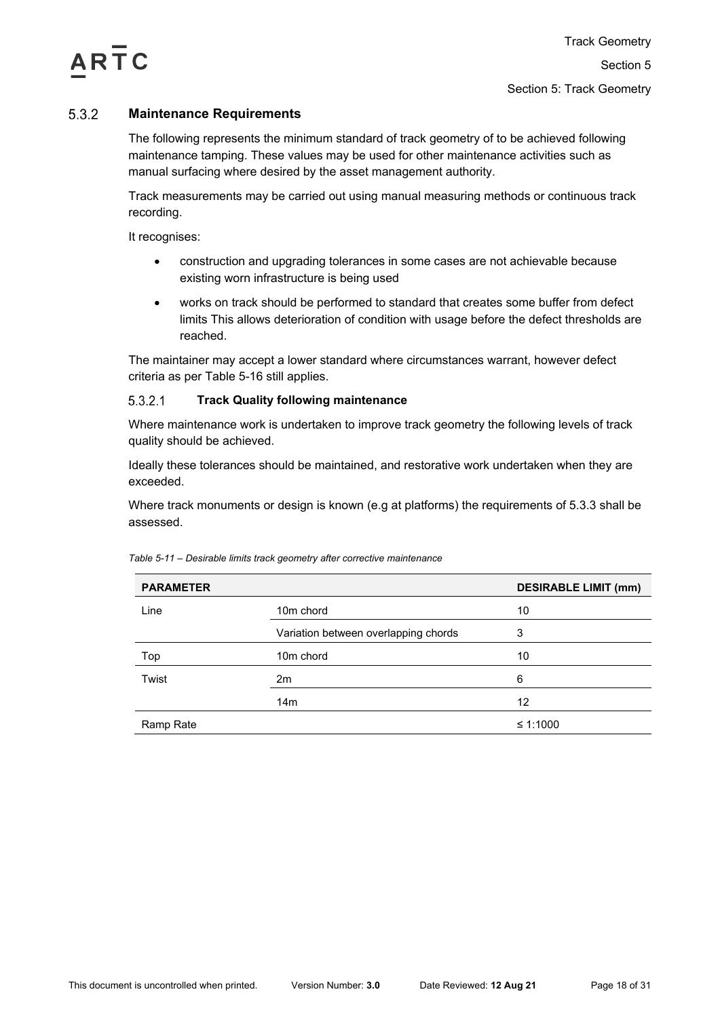

## <span id="page-17-0"></span>5.3.2 **Maintenance Requirements**

The following represents the minimum standard of track geometry of to be achieved following maintenance tamping. These values may be used for other maintenance activities such as manual surfacing where desired by the asset management authority.

Track measurements may be carried out using manual measuring methods or continuous track recording.

It recognises:

- construction and upgrading tolerances in some cases are not achievable because existing worn infrastructure is being used
- works on track should be performed to standard that creates some buffer from defect limits This allows deterioration of condition with usage before the defect thresholds are reached.

The maintainer may accept a lower standard where circumstances warrant, however defect criteria as per [Table 5-16](#page-26-0) still applies.

### $5.3.2.1$ **Track Quality following maintenance**

Where maintenance work is undertaken to improve track geometry the following levels of track quality should be achieved.

Ideally these tolerances should be maintained, and restorative work undertaken when they are exceeded.

Where track monuments or design is known (e.g at platforms) the requirements of [5.3.3](#page-18-0) shall be assessed.

| <b>PARAMETER</b> |                                      | <b>DESIRABLE LIMIT (mm)</b> |
|------------------|--------------------------------------|-----------------------------|
| Line             | 10 <sub>m</sub> chord                | 10                          |
|                  | Variation between overlapping chords | 3                           |
| Top              | 10 <sub>m</sub> chord                | 10                          |
| Twist            | 2m                                   | 6                           |
|                  | 14 <sub>m</sub>                      | 12                          |
| Ramp Rate        |                                      | ≤ 1:1000                    |

*Table 5-11 – Desirable limits track geometry after corrective maintenance*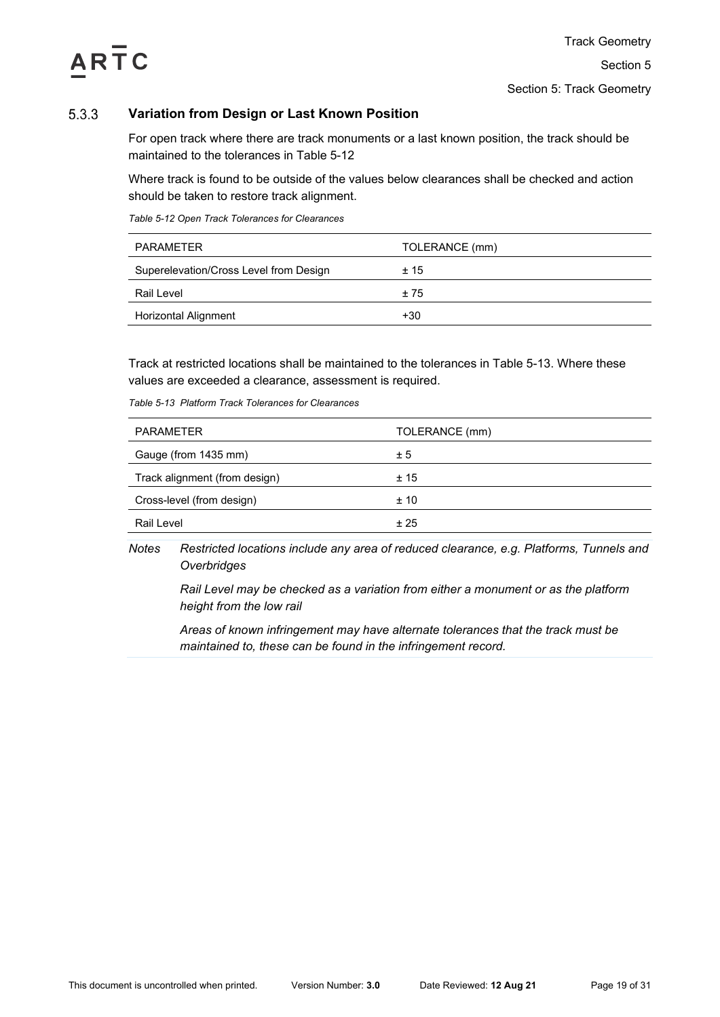

## <span id="page-18-0"></span>5.3.3 **Variation from Design or Last Known Position**

For open track where there are track monuments or a last known position, the track should be maintained to the tolerances in [Table 5-12](#page-18-1)

Where track is found to be outside of the values below clearances shall be checked and action should be taken to restore track alignment.

<span id="page-18-1"></span>*Table 5-12 Open Track Tolerances for Clearances*

| PARAMETER                              | TOLERANCE (mm) |
|----------------------------------------|----------------|
| Superelevation/Cross Level from Design | ±15            |
| Rail Level                             | ±75            |
| <b>Horizontal Alignment</b>            | +30            |

Track at restricted locations shall be maintained to the tolerances in [Table 5-13.](#page-18-2) Where these values are exceeded a clearance, assessment is required.

| <b>PARAMETER</b>              | TOLERANCE (mm) |
|-------------------------------|----------------|
| Gauge (from 1435 mm)          | ± 5            |
| Track alignment (from design) | ±15            |
| Cross-level (from design)     | ±10            |
| Rail Level                    | ± 25           |

<span id="page-18-2"></span>*Table 5-13 Platform Track Tolerances for Clearances*

*Notes Restricted locations include any area of reduced clearance, e.g. Platforms, Tunnels and Overbridges*

*Rail Level may be checked as a variation from either a monument or as the platform height from the low rail* 

*Areas of known infringement may have alternate tolerances that the track must be maintained to, these can be found in the infringement record.*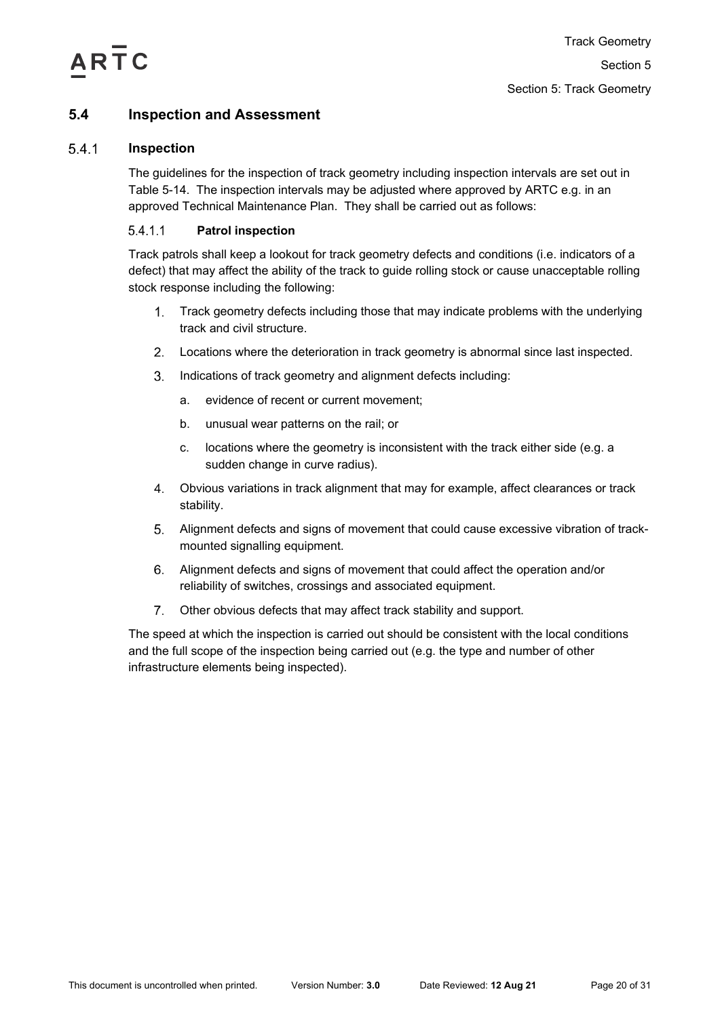

# <span id="page-19-0"></span>**5.4 Inspection and Assessment**

### <span id="page-19-1"></span> $5.4.1$ **Inspection**

The guidelines for the inspection of track geometry including inspection intervals are set out in [Table 5-14.](#page-20-0) The inspection intervals may be adjusted where approved by ARTC e.g. in an approved Technical Maintenance Plan. They shall be carried out as follows:

## $5.4.1.1$ **Patrol inspection**

Track patrols shall keep a lookout for track geometry defects and conditions (i.e. indicators of a defect) that may affect the ability of the track to guide rolling stock or cause unacceptable rolling stock response including the following:

- $1<sup>1</sup>$ Track geometry defects including those that may indicate problems with the underlying track and civil structure.
- Locations where the deterioration in track geometry is abnormal since last inspected.
- $3.$ Indications of track geometry and alignment defects including:
	- a. evidence of recent or current movement;
	- b. unusual wear patterns on the rail; or
	- c. locations where the geometry is inconsistent with the track either side (e.g. a sudden change in curve radius).
- Obvious variations in track alignment that may for example, affect clearances or track stability.
- Alignment defects and signs of movement that could cause excessive vibration of trackmounted signalling equipment.
- Alignment defects and signs of movement that could affect the operation and/or reliability of switches, crossings and associated equipment.
- $7<sub>1</sub>$ Other obvious defects that may affect track stability and support.

The speed at which the inspection is carried out should be consistent with the local conditions and the full scope of the inspection being carried out (e.g. the type and number of other infrastructure elements being inspected).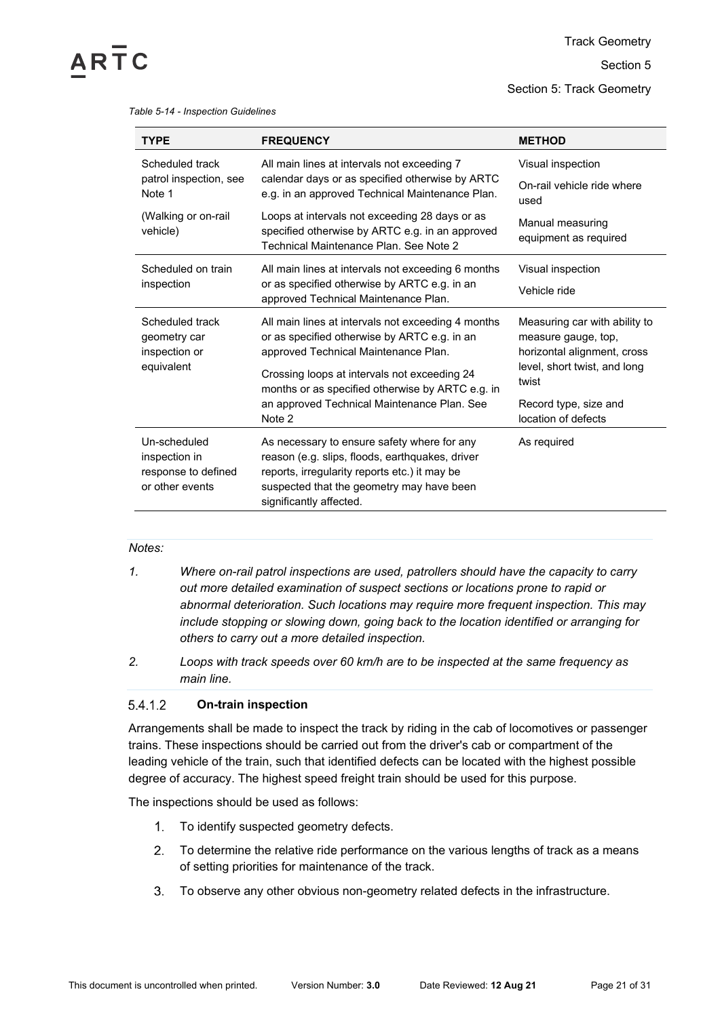Track Geometry

Section 5

Section 5: Track Geometry

## *Table 5-14 - Inspection Guidelines*

<span id="page-20-0"></span> $AR<sub>TC</sub>$ 

| <b>TYPE</b>                                                                                                                            | <b>FREQUENCY</b>                                                                                                                                                                                                        | <b>METHOD</b>                                                                       |  |
|----------------------------------------------------------------------------------------------------------------------------------------|-------------------------------------------------------------------------------------------------------------------------------------------------------------------------------------------------------------------------|-------------------------------------------------------------------------------------|--|
| Scheduled track                                                                                                                        | All main lines at intervals not exceeding 7                                                                                                                                                                             | Visual inspection                                                                   |  |
| calendar days or as specified otherwise by ARTC<br>patrol inspection, see<br>Note 1<br>e.g. in an approved Technical Maintenance Plan. |                                                                                                                                                                                                                         | On-rail vehicle ride where<br>used                                                  |  |
| (Walking or on-rail)<br>vehicle)                                                                                                       | Loops at intervals not exceeding 28 days or as<br>specified otherwise by ARTC e.g. in an approved<br>Technical Maintenance Plan. See Note 2                                                                             | Manual measuring<br>equipment as required                                           |  |
| Scheduled on train                                                                                                                     | All main lines at intervals not exceeding 6 months                                                                                                                                                                      | Visual inspection                                                                   |  |
| inspection                                                                                                                             | or as specified otherwise by ARTC e.g. in an<br>approved Technical Maintenance Plan.                                                                                                                                    | Vehicle ride                                                                        |  |
| Scheduled track<br>geometry car<br>inspection or                                                                                       | All main lines at intervals not exceeding 4 months<br>or as specified otherwise by ARTC e.g. in an<br>approved Technical Maintenance Plan.                                                                              | Measuring car with ability to<br>measure gauge, top,<br>horizontal alignment, cross |  |
| equivalent                                                                                                                             | Crossing loops at intervals not exceeding 24<br>months or as specified otherwise by ARTC e.g. in                                                                                                                        | level, short twist, and long<br>twist                                               |  |
|                                                                                                                                        | an approved Technical Maintenance Plan. See<br>Note 2                                                                                                                                                                   | Record type, size and<br>location of defects                                        |  |
| Un-scheduled<br>inspection in<br>response to defined<br>or other events                                                                | As necessary to ensure safety where for any<br>reason (e.g. slips, floods, earthquakes, driver<br>reports, irregularity reports etc.) it may be<br>suspected that the geometry may have been<br>significantly affected. | As required                                                                         |  |

## *Notes:*

- *1. Where on-rail patrol inspections are used, patrollers should have the capacity to carry out more detailed examination of suspect sections or locations prone to rapid or abnormal deterioration. Such locations may require more frequent inspection. This may include stopping or slowing down, going back to the location identified or arranging for others to carry out a more detailed inspection.*
- *2. Loops with track speeds over 60 km/h are to be inspected at the same frequency as main line.*

#### 5.4.1.2 **On-train inspection**

Arrangements shall be made to inspect the track by riding in the cab of locomotives or passenger trains. These inspections should be carried out from the driver's cab or compartment of the leading vehicle of the train, such that identified defects can be located with the highest possible degree of accuracy. The highest speed freight train should be used for this purpose.

The inspections should be used as follows:

- 1. To identify suspected geometry defects.
- $2.$ To determine the relative ride performance on the various lengths of track as a means of setting priorities for maintenance of the track.
- To observe any other obvious non-geometry related defects in the infrastructure. $3<sub>1</sub>$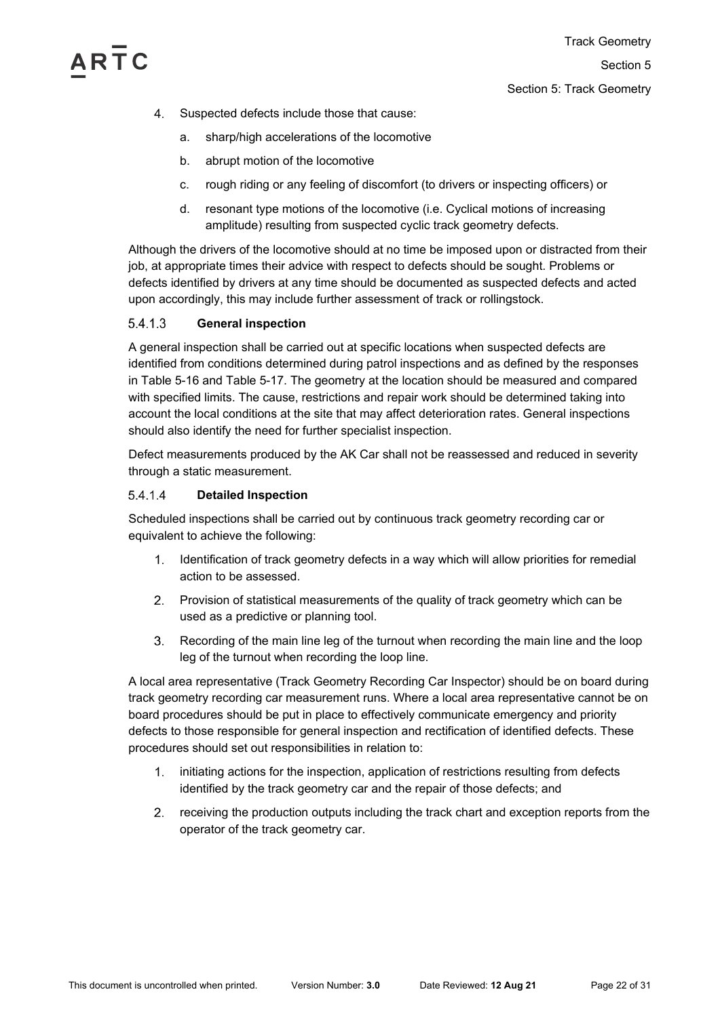- $\overline{4}$ Suspected defects include those that cause:
	- a. sharp/high accelerations of the locomotive
	- b. abrupt motion of the locomotive
	- c. rough riding or any feeling of discomfort (to drivers or inspecting officers) or
	- d. resonant type motions of the locomotive (i.e. Cyclical motions of increasing amplitude) resulting from suspected cyclic track geometry defects.

Although the drivers of the locomotive should at no time be imposed upon or distracted from their job, at appropriate times their advice with respect to defects should be sought. Problems or defects identified by drivers at any time should be documented as suspected defects and acted upon accordingly, this may include further assessment of track or rollingstock.

## $5.4.1.3$ **General inspection**

A general inspection shall be carried out at specific locations when suspected defects are identified from conditions determined during patrol inspections and as defined by the responses in [Table 5-16](#page-26-0) and [Table 5-17.](#page-28-1) The geometry at the location should be measured and compared with specified limits. The cause, restrictions and repair work should be determined taking into account the local conditions at the site that may affect deterioration rates. General inspections should also identify the need for further specialist inspection.

Defect measurements produced by the AK Car shall not be reassessed and reduced in severity through a static measurement.

### 5.4.1.4 **Detailed Inspection**

Scheduled inspections shall be carried out by continuous track geometry recording car or equivalent to achieve the following:

- 1. Identification of track geometry defects in a way which will allow priorities for remedial action to be assessed.
- Provision of statistical measurements of the quality of track geometry which can be used as a predictive or planning tool.
- Recording of the main line leg of the turnout when recording the main line and the loop leg of the turnout when recording the loop line.

A local area representative (Track Geometry Recording Car Inspector) should be on board during track geometry recording car measurement runs. Where a local area representative cannot be on board procedures should be put in place to effectively communicate emergency and priority defects to those responsible for general inspection and rectification of identified defects. These procedures should set out responsibilities in relation to:

- $1.$ initiating actions for the inspection, application of restrictions resulting from defects identified by the track geometry car and the repair of those defects; and
- 2. receiving the production outputs including the track chart and exception reports from the operator of the track geometry car.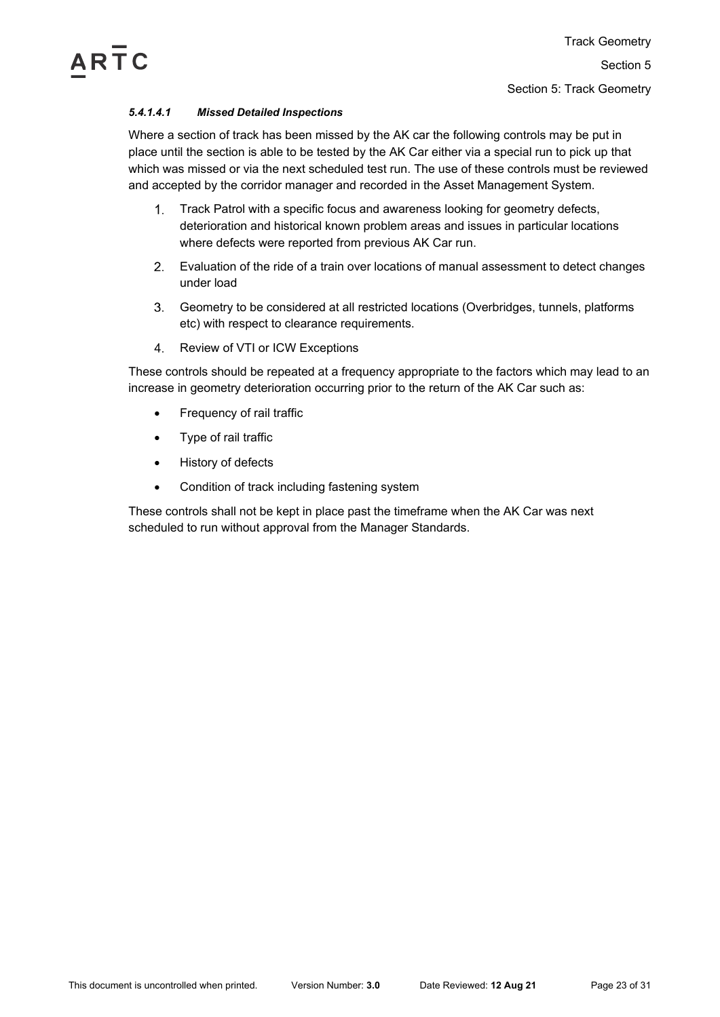# *5.4.1.4.1 Missed Detailed Inspections*

Where a section of track has been missed by the AK car the following controls may be put in place until the section is able to be tested by the AK Car either via a special run to pick up that which was missed or via the next scheduled test run. The use of these controls must be reviewed and accepted by the corridor manager and recorded in the Asset Management System.

- $1<sup>1</sup>$ Track Patrol with a specific focus and awareness looking for geometry defects, deterioration and historical known problem areas and issues in particular locations where defects were reported from previous AK Car run.
- Evaluation of the ride of a train over locations of manual assessment to detect changes under load
- Geometry to be considered at all restricted locations (Overbridges, tunnels, platforms etc) with respect to clearance requirements.
- 4. Review of VTI or ICW Exceptions

These controls should be repeated at a frequency appropriate to the factors which may lead to an increase in geometry deterioration occurring prior to the return of the AK Car such as:

- Frequency of rail traffic
- Type of rail traffic
- History of defects
- Condition of track including fastening system

These controls shall not be kept in place past the timeframe when the AK Car was next scheduled to run without approval from the Manager Standards.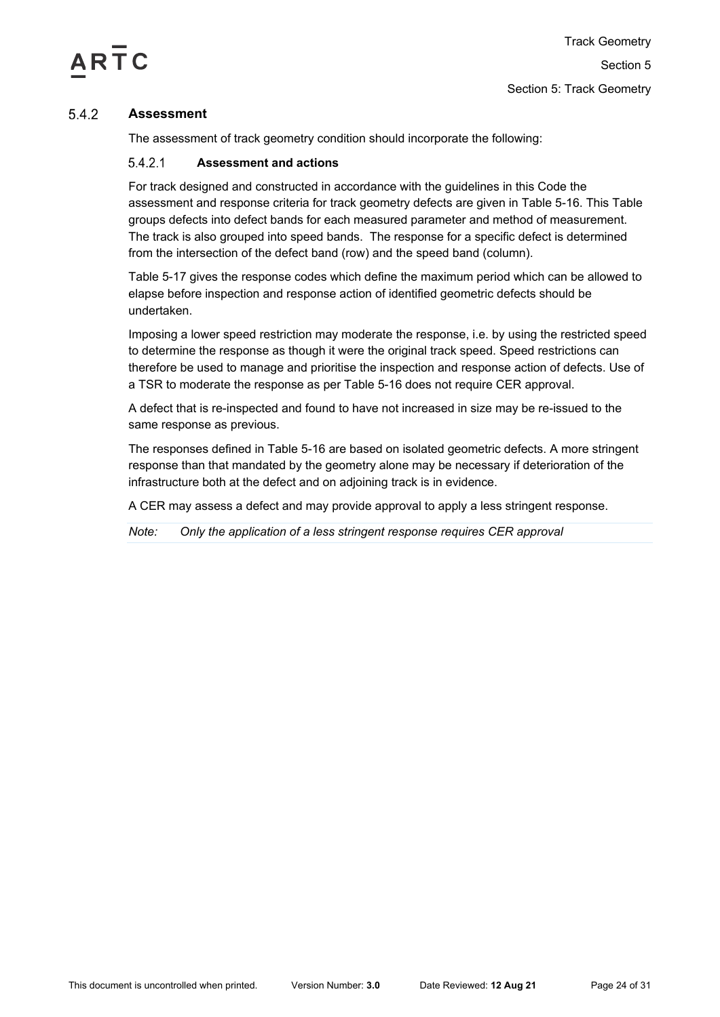

## <span id="page-23-0"></span> $5.4.2$ **Assessment**

The assessment of track geometry condition should incorporate the following:

### **Assessment and actions** 5.4.2.1

For track designed and constructed in accordance with the guidelines in this Code the assessment and response criteria for track geometry defects are given in [Table 5-16.](#page-26-0) This Table groups defects into defect bands for each measured parameter and method of measurement. The track is also grouped into speed bands. The response for a specific defect is determined from the intersection of the defect band (row) and the speed band (column).

[Table 5-17](#page-28-1) gives the response codes which define the maximum period which can be allowed to elapse before inspection and response action of identified geometric defects should be undertaken.

Imposing a lower speed restriction may moderate the response, i.e. by using the restricted speed to determine the response as though it were the original track speed. Speed restrictions can therefore be used to manage and prioritise the inspection and response action of defects. Use of a TSR to moderate the response as per [Table 5-16](#page-26-0) does not require CER approval.

A defect that is re-inspected and found to have not increased in size may be re-issued to the same response as previous.

The responses defined in [Table 5-16](#page-26-0) are based on isolated geometric defects. A more stringent response than that mandated by the geometry alone may be necessary if deterioration of the infrastructure both at the defect and on adjoining track is in evidence.

A CER may assess a defect and may provide approval to apply a less stringent response.

*Note: Only the application of a less stringent response requires CER approval*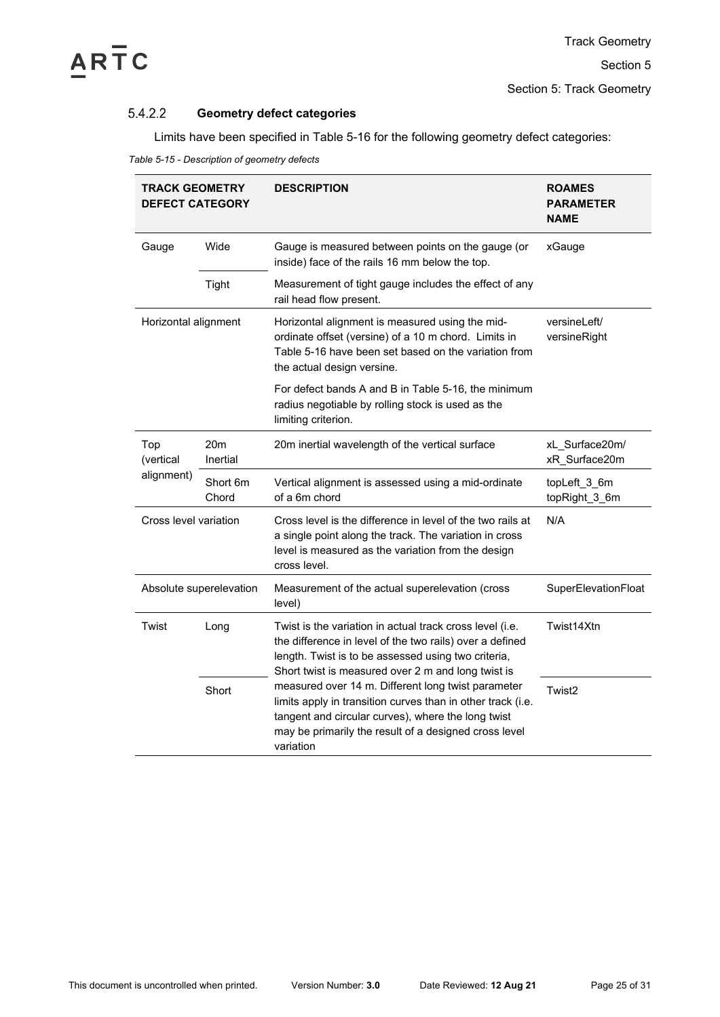

Section 5: Track Geometry

## $5.4.2.2$ **Geometry defect categories**

Limits have been specified in [Table 5-16](#page-26-0) for the following geometry defect categories:

|  | Table 5-15 - Description of geometry defects |  |
|--|----------------------------------------------|--|
|  |                                              |  |

| <b>TRACK GEOMETRY</b><br><b>DEFECT CATEGORY</b>                        |                         | <b>DESCRIPTION</b>                                                                                                                                                                                                                                                                                                                                                                                                                                                                 | <b>ROAMES</b><br><b>PARAMETER</b><br><b>NAME</b> |
|------------------------------------------------------------------------|-------------------------|------------------------------------------------------------------------------------------------------------------------------------------------------------------------------------------------------------------------------------------------------------------------------------------------------------------------------------------------------------------------------------------------------------------------------------------------------------------------------------|--------------------------------------------------|
| Gauge                                                                  | Wide                    | Gauge is measured between points on the gauge (or<br>inside) face of the rails 16 mm below the top.                                                                                                                                                                                                                                                                                                                                                                                | xGauge                                           |
|                                                                        | <b>Tight</b>            | Measurement of tight gauge includes the effect of any<br>rail head flow present.                                                                                                                                                                                                                                                                                                                                                                                                   |                                                  |
| Horizontal alignment                                                   |                         | Horizontal alignment is measured using the mid-<br>ordinate offset (versine) of a 10 m chord. Limits in<br>Table 5-16 have been set based on the variation from<br>the actual design versine.                                                                                                                                                                                                                                                                                      | versineLeft/<br>versineRight                     |
|                                                                        |                         | For defect bands A and B in Table 5-16, the minimum<br>radius negotiable by rolling stock is used as the<br>limiting criterion.                                                                                                                                                                                                                                                                                                                                                    |                                                  |
| 20 <sub>m</sub><br>Top<br>Inertial<br>(vertical<br>alignment)<br>Chord |                         | 20m inertial wavelength of the vertical surface                                                                                                                                                                                                                                                                                                                                                                                                                                    | xL_Surface20m/<br>xR_Surface20m                  |
|                                                                        | Short 6m                | Vertical alignment is assessed using a mid-ordinate<br>of a 6m chord                                                                                                                                                                                                                                                                                                                                                                                                               | topLeft_3_6m<br>topRight_3_6m                    |
| Cross level variation                                                  |                         | Cross level is the difference in level of the two rails at<br>a single point along the track. The variation in cross<br>level is measured as the variation from the design<br>cross level.                                                                                                                                                                                                                                                                                         | N/A                                              |
|                                                                        | Absolute superelevation | Measurement of the actual superelevation (cross<br>level)                                                                                                                                                                                                                                                                                                                                                                                                                          | SuperElevationFloat                              |
| Twist                                                                  | Long                    | Twist is the variation in actual track cross level (i.e.<br>the difference in level of the two rails) over a defined<br>length. Twist is to be assessed using two criteria,<br>Short twist is measured over 2 m and long twist is<br>measured over 14 m. Different long twist parameter<br>limits apply in transition curves than in other track (i.e.<br>tangent and circular curves), where the long twist<br>may be primarily the result of a designed cross level<br>variation | Twist14Xtn                                       |
|                                                                        | Short                   |                                                                                                                                                                                                                                                                                                                                                                                                                                                                                    | Twist2                                           |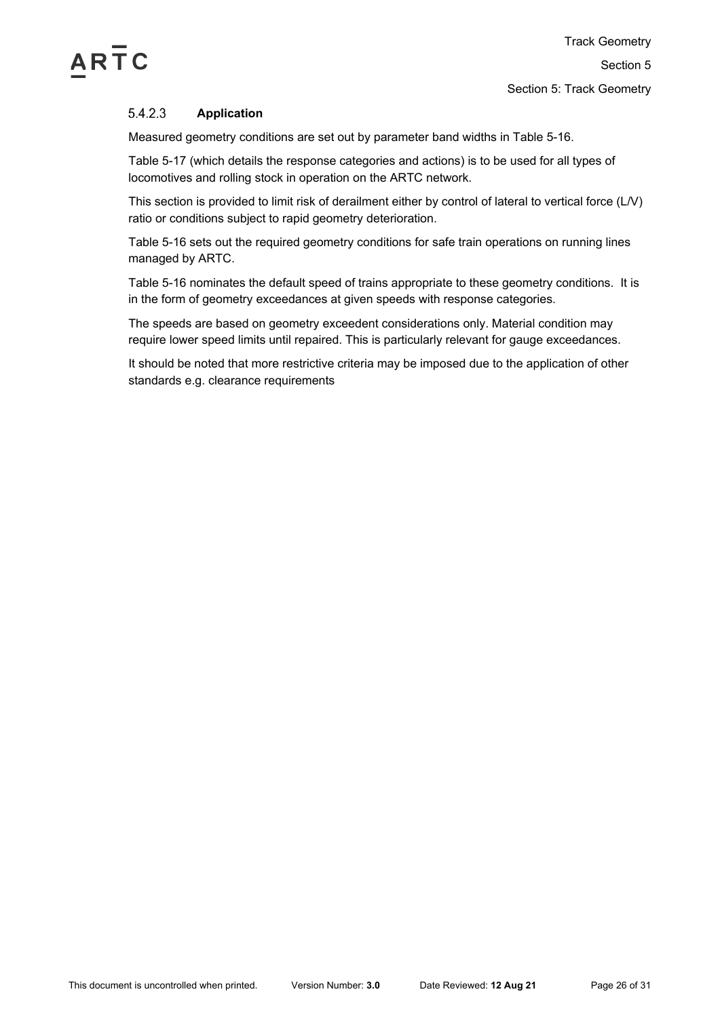

## 5.4.2.3 **Application**

Measured geometry conditions are set out by parameter band widths in [Table 5-16.](#page-26-0)

[Table 5-17](#page-28-1) (which details the response categories and actions) is to be used for all types of locomotives and rolling stock in operation on the ARTC network.

This section is provided to limit risk of derailment either by control of lateral to vertical force (L/V) ratio or conditions subject to rapid geometry deterioration.

[Table 5-16](#page-26-0) sets out the required geometry conditions for safe train operations on running lines managed by ARTC.

[Table 5-16](#page-26-0) nominates the default speed of trains appropriate to these geometry conditions. It is in the form of geometry exceedances at given speeds with response categories.

The speeds are based on geometry exceedent considerations only. Material condition may require lower speed limits until repaired. This is particularly relevant for gauge exceedances.

It should be noted that more restrictive criteria may be imposed due to the application of other standards e.g. clearance requirements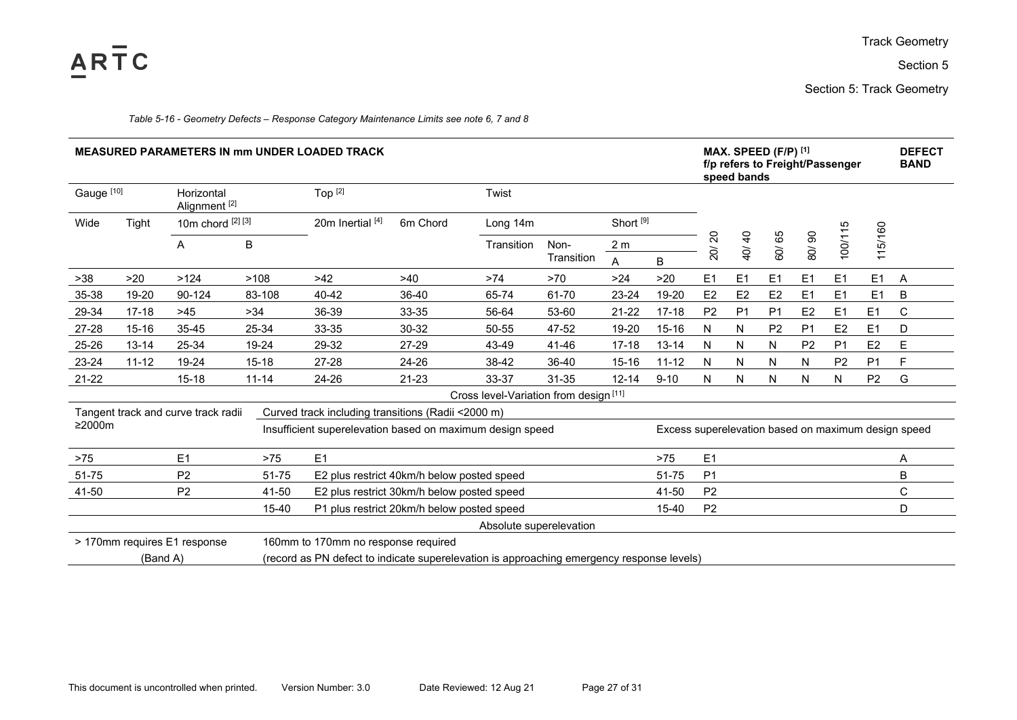

Section 5

Section 5: Track Geometry

| Table 5-16 - Geometry Defects – Response Category Maintenance Limits see note 6, 7 and 8 |  |  |  |  |
|------------------------------------------------------------------------------------------|--|--|--|--|
|------------------------------------------------------------------------------------------|--|--|--|--|

<span id="page-26-0"></span>

| <b>MEASURED PARAMETERS IN mm UNDER LOADED TRACK</b>                                                   |           |                                        |           |                                                           |                                            |                                        |                    | MAX. SPEED (F/P) [1]<br>f/p refers to Freight/Passenger<br>speed bands |                                                     |                                 |                                  |                |                | <b>DEFECT</b><br><b>BAND</b> |                |   |
|-------------------------------------------------------------------------------------------------------|-----------|----------------------------------------|-----------|-----------------------------------------------------------|--------------------------------------------|----------------------------------------|--------------------|------------------------------------------------------------------------|-----------------------------------------------------|---------------------------------|----------------------------------|----------------|----------------|------------------------------|----------------|---|
| Gauge [10]                                                                                            |           | Horizontal<br>Alignment <sup>[2]</sup> |           | Top <sup>[2]</sup>                                        |                                            | Twist                                  |                    |                                                                        |                                                     |                                 |                                  |                |                |                              |                |   |
| Wide<br>Tight                                                                                         |           | 10m chord [2] [3]                      |           | 20m Inertial [4]                                          | 6m Chord                                   | Long 14m                               |                    | Short <sup>[9]</sup>                                                   |                                                     |                                 |                                  |                |                |                              |                |   |
|                                                                                                       |           | A                                      | B         |                                                           |                                            | Transition                             | Non-<br>Transition | 2 <sub>m</sub>                                                         |                                                     | $\Omega$<br>$\overline{\alpha}$ | $\frac{1}{4}$<br>$\widetilde{Q}$ | 60/65          | 80/90          | 100/115                      | 115/160        |   |
|                                                                                                       |           |                                        |           |                                                           |                                            |                                        |                    | A                                                                      | B.                                                  |                                 |                                  |                |                |                              |                |   |
| $>38$                                                                                                 | >20       | >124                                   | >108      | $>42$                                                     | >40                                        | >74                                    | >70                | $>24$                                                                  | >20                                                 | E1                              | E1                               | E1             | E1             | E1                           | E1             | Α |
| 35-38                                                                                                 | 19-20     | 90-124                                 | 83-108    | 40-42                                                     | 36-40                                      | 65-74                                  | 61-70              | 23-24                                                                  | 19-20                                               | E2                              | E2                               | E <sub>2</sub> | E <sub>1</sub> | E <sub>1</sub>               | E <sub>1</sub> | B |
| 29-34                                                                                                 | $17 - 18$ | >45                                    | >34       | 36-39                                                     | 33-35                                      | 56-64                                  | 53-60              | 21-22                                                                  | $17 - 18$                                           | P <sub>2</sub>                  | P <sub>1</sub>                   | P <sub>1</sub> | E2             | E1                           | E1             | C |
| 27-28                                                                                                 | $15 - 16$ | 35-45                                  | 25-34     | 33-35                                                     | 30-32                                      | 50-55                                  | 47-52              | 19-20                                                                  | $15 - 16$                                           | N                               | N                                | P <sub>2</sub> | P <sub>1</sub> | E <sub>2</sub>               | E <sub>1</sub> | D |
| 25-26                                                                                                 | $13 - 14$ | 25-34                                  | 19-24     | 29-32                                                     | 27-29                                      | 43-49                                  | 41-46              | $17 - 18$                                                              | 13-14                                               | N                               | N                                | N              | P <sub>2</sub> | P <sub>1</sub>               | E2             | E |
| 23-24                                                                                                 | $11 - 12$ | 19-24                                  | $15 - 18$ | 27-28                                                     | 24-26                                      | 38-42                                  | 36-40              | $15 - 16$                                                              | $11 - 12$                                           | N                               | N                                | N              | N              | P <sub>2</sub>               | P <sub>1</sub> | F |
| $21 - 22$                                                                                             |           | $15 - 18$                              | $11 - 14$ | 24-26                                                     | 21-23                                      | 33-37                                  | 31-35              | $12 - 14$                                                              | $9 - 10$                                            | N                               | N                                | N              | N              | N                            | P <sub>2</sub> | G |
|                                                                                                       |           |                                        |           |                                                           |                                            | Cross level-Variation from design [11] |                    |                                                                        |                                                     |                                 |                                  |                |                |                              |                |   |
| Curved track including transitions (Radii <2000 m)<br>Tangent track and curve track radii             |           |                                        |           |                                                           |                                            |                                        |                    |                                                                        |                                                     |                                 |                                  |                |                |                              |                |   |
| $\geq$ 2000m                                                                                          |           |                                        |           | Insufficient superelevation based on maximum design speed |                                            |                                        |                    |                                                                        | Excess superelevation based on maximum design speed |                                 |                                  |                |                |                              |                |   |
| $>75$                                                                                                 |           | E1                                     | $>75$     | E1                                                        |                                            |                                        |                    |                                                                        | $>75$                                               | E1                              |                                  |                |                |                              |                | A |
| 51-75                                                                                                 |           | P <sub>2</sub>                         | $51 - 75$ | E2 plus restrict 40km/h below posted speed                |                                            |                                        |                    |                                                                        | 51-75                                               | P <sub>1</sub>                  |                                  |                |                |                              |                | B |
| 41-50                                                                                                 |           | P <sub>2</sub>                         | 41-50     |                                                           | E2 plus restrict 30km/h below posted speed |                                        |                    |                                                                        | 41-50                                               | P <sub>2</sub>                  |                                  |                |                |                              |                | C |
|                                                                                                       |           |                                        | 15-40     | P1 plus restrict 20km/h below posted speed                |                                            |                                        |                    |                                                                        | 15-40                                               | P <sub>2</sub>                  |                                  |                |                |                              |                | D |
|                                                                                                       |           |                                        |           |                                                           |                                            | Absolute superelevation                |                    |                                                                        |                                                     |                                 |                                  |                |                |                              |                |   |
| > 170mm requires E1 response<br>160mm to 170mm no response required                                   |           |                                        |           |                                                           |                                            |                                        |                    |                                                                        |                                                     |                                 |                                  |                |                |                              |                |   |
| (record as PN defect to indicate superelevation is approaching emergency response levels)<br>(Band A) |           |                                        |           |                                                           |                                            |                                        |                    |                                                                        |                                                     |                                 |                                  |                |                |                              |                |   |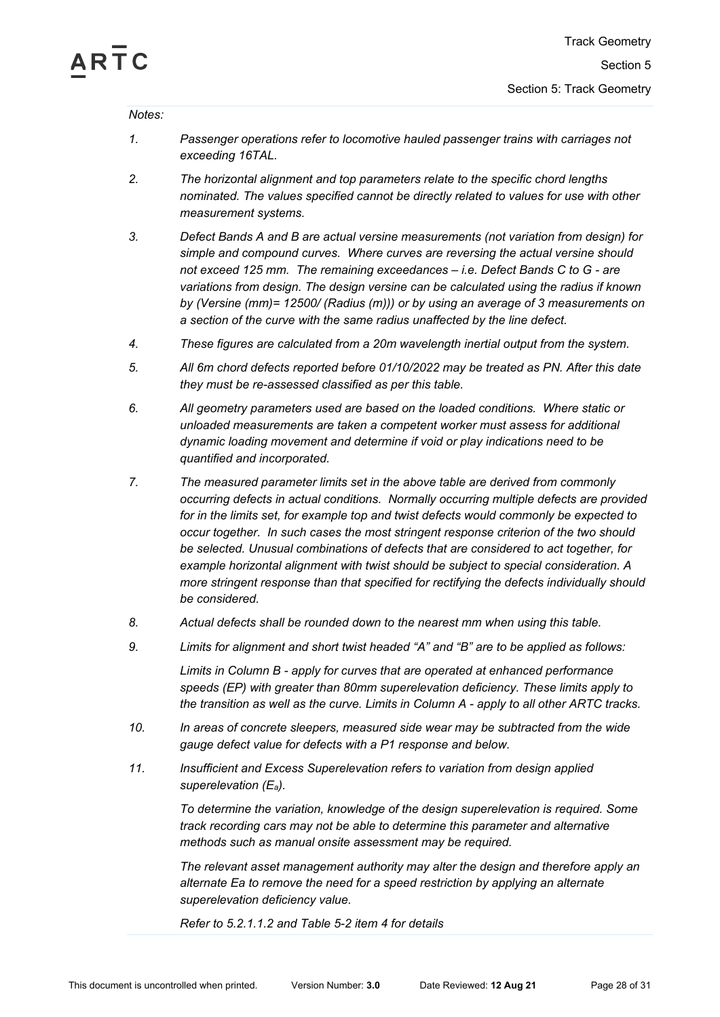

## *Notes:*

- *1. Passenger operations refer to locomotive hauled passenger trains with carriages not exceeding 16TAL.*
- *2. The horizontal alignment and top parameters relate to the specific chord lengths nominated. The values specified cannot be directly related to values for use with other measurement systems.*
- *3. Defect Bands A and B are actual versine measurements (not variation from design) for simple and compound curves. Where curves are reversing the actual versine should not exceed 125 mm. The remaining exceedances – i.e. Defect Bands C to G - are variations from design. The design versine can be calculated using the radius if known by (Versine (mm)= 12500/ (Radius (m))) or by using an average of 3 measurements on a section of the curve with the same radius unaffected by the line defect.*
- *4. These figures are calculated from a 20m wavelength inertial output from the system.*
- *5. All 6m chord defects reported before 01/10/2022 may be treated as PN. After this date they must be re-assessed classified as per this table.*
- *6. All geometry parameters used are based on the loaded conditions. Where static or unloaded measurements are taken a competent worker must assess for additional dynamic loading movement and determine if void or play indications need to be quantified and incorporated.*
- *7. The measured parameter limits set in the above table are derived from commonly occurring defects in actual conditions. Normally occurring multiple defects are provided for in the limits set, for example top and twist defects would commonly be expected to occur together. In such cases the most stringent response criterion of the two should be selected. Unusual combinations of defects that are considered to act together, for example horizontal alignment with twist should be subject to special consideration. A more stringent response than that specified for rectifying the defects individually should be considered.*
- *8. Actual defects shall be rounded down to the nearest mm when using this table.*
- *9. Limits for alignment and short twist headed "A" and "B" are to be applied as follows:*

*Limits in Column B - apply for curves that are operated at enhanced performance speeds (EP) with greater than 80mm superelevation deficiency. These limits apply to the transition as well as the curve. Limits in Column A - apply to all other ARTC tracks.*

- *10. In areas of concrete sleepers, measured side wear may be subtracted from the wide gauge defect value for defects with a P1 response and below.*
- *11. Insufficient and Excess Superelevation refers to variation from design applied superelevation (Ea).*

*To determine the variation, knowledge of the design superelevation is required. Some track recording cars may not be able to determine this parameter and alternative methods such as manual onsite assessment may be required.*

*The relevant asset management authority may alter the design and therefore apply an alternate Ea to remove the need for a speed restriction by applying an alternate superelevation deficiency value.*

*Refer to [5.2.1.1.2](#page-4-3) and [Table 5-2](#page-7-0) item 4 for details*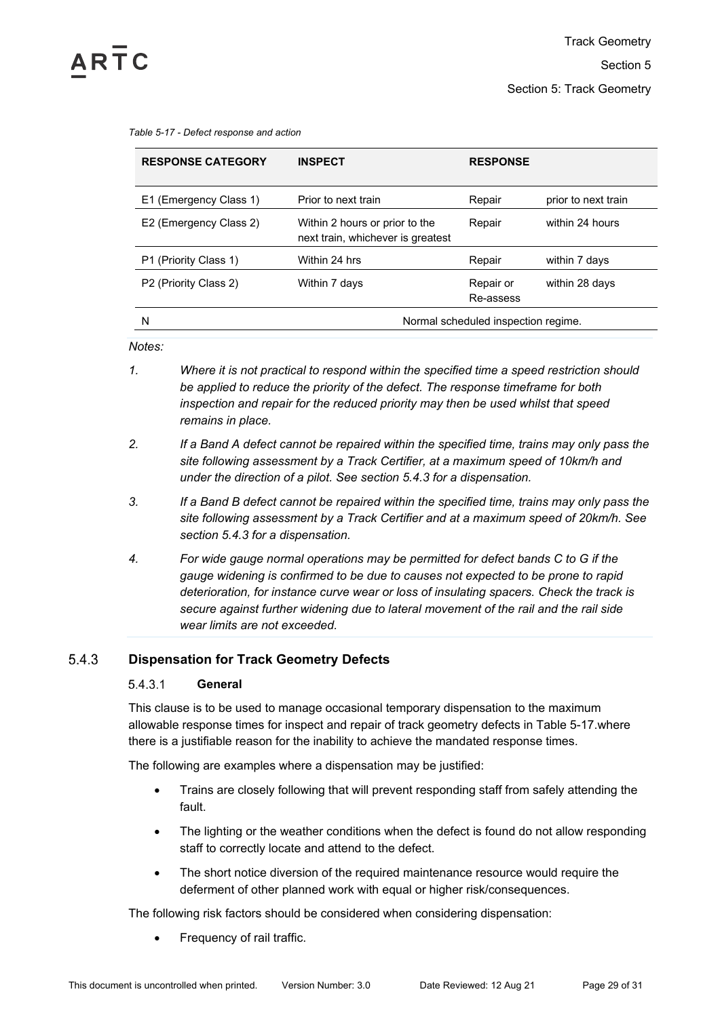<span id="page-28-1"></span>

| Table 5-17 - Defect response and action |
|-----------------------------------------|
|-----------------------------------------|

| <b>RESPONSE CATEGORY</b> | <b>INSPECT</b>                                                      | <b>RESPONSE</b>                     |                     |  |  |  |  |
|--------------------------|---------------------------------------------------------------------|-------------------------------------|---------------------|--|--|--|--|
| E1 (Emergency Class 1)   | Prior to next train                                                 | Repair                              | prior to next train |  |  |  |  |
| E2 (Emergency Class 2)   | Within 2 hours or prior to the<br>next train, whichever is greatest | Repair                              | within 24 hours     |  |  |  |  |
| P1 (Priority Class 1)    | Within 24 hrs                                                       | Repair                              | within 7 days       |  |  |  |  |
| P2 (Priority Class 2)    | Within 7 days                                                       | Repair or<br>Re-assess              | within 28 days      |  |  |  |  |
| N                        |                                                                     | Normal scheduled inspection regime. |                     |  |  |  |  |

*Notes:*

- *1. Where it is not practical to respond within the specified time a speed restriction should be applied to reduce the priority of the defect. The response timeframe for both inspection and repair for the reduced priority may then be used whilst that speed remains in place.*
- *2. If a Band A defect cannot be repaired within the specified time, trains may only pass the site following assessment by a Track Certifier, at a maximum speed of 10km/h and under the direction of a pilot. See section [5.4.3](#page-28-0) for a dispensation.*
- *3. If a Band B defect cannot be repaired within the specified time, trains may only pass the site following assessment by a Track Certifier and at a maximum speed of 20km/h. See section [5.4.3](#page-28-0) for a dispensation.*
- *4. For wide gauge normal operations may be permitted for defect bands C to G if the gauge widening is confirmed to be due to causes not expected to be prone to rapid deterioration, for instance curve wear or loss of insulating spacers. Check the track is secure against further widening due to lateral movement of the rail and the rail side wear limits are not exceeded.*

## <span id="page-28-2"></span><span id="page-28-0"></span>5.4.3 **Dispensation for Track Geometry Defects**

### 5.4.3.1 **General**

This clause is to be used to manage occasional temporary dispensation to the maximum allowable response times for inspect and repair of track geometry defects in [Table 5-17.](#page-28-1)where there is a justifiable reason for the inability to achieve the mandated response times.

The following are examples where a dispensation may be justified:

- Trains are closely following that will prevent responding staff from safely attending the fault.
- The lighting or the weather conditions when the defect is found do not allow responding staff to correctly locate and attend to the defect.
- The short notice diversion of the required maintenance resource would require the deferment of other planned work with equal or higher risk/consequences.

The following risk factors should be considered when considering dispensation:

• Frequency of rail traffic.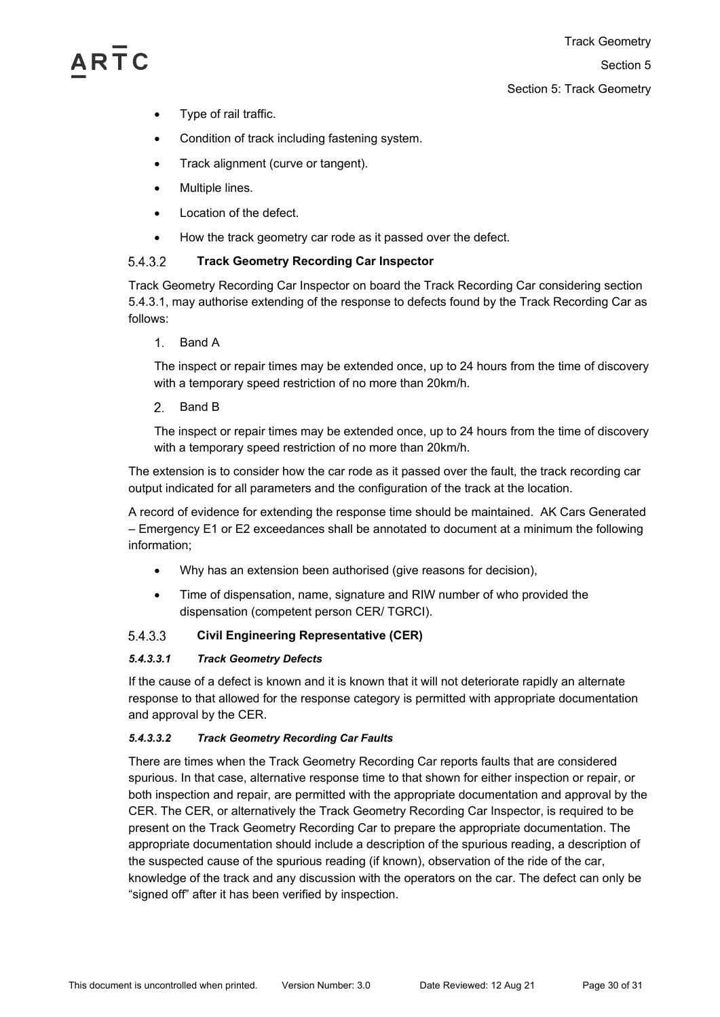# **ARTC**

- Type of rail traffic.
- Condition of track including fastening system.
- Track alignment (curve or tangent).
- Multiple lines.
- Location of the defect.
- How the track geometry car rode as it passed over the defect.

## 5.4.3.2 **Track Geometry Recording Car Inspector**

Track Geometry Recording Car Inspector on board the Track Recording Car considering section [5.4.3.1,](#page-28-2) may authorise extending of the response to defects found by the Track Recording Car as follows:

 $1<sup>1</sup>$ Band A

The inspect or repair times may be extended once, up to 24 hours from the time of discovery with a temporary speed restriction of no more than 20km/h.

 $2<sup>1</sup>$ Band B

The inspect or repair times may be extended once, up to 24 hours from the time of discovery with a temporary speed restriction of no more than 20km/h.

The extension is to consider how the car rode as it passed over the fault, the track recording car output indicated for all parameters and the configuration of the track at the location.

A record of evidence for extending the response time should be maintained. AK Cars Generated – Emergency E1 or E2 exceedances shall be annotated to document at a minimum the following information;

- Why has an extension been authorised (give reasons for decision),
- Time of dispensation, name, signature and RIW number of who provided the dispensation (competent person CER/ TGRCI).

## 5.4.3.3 **Civil Engineering Representative (CER)**

# *5.4.3.3.1 Track Geometry Defects*

If the cause of a defect is known and it is known that it will not deteriorate rapidly an alternate response to that allowed for the response category is permitted with appropriate documentation and approval by the CER.

# *5.4.3.3.2 Track Geometry Recording Car Faults*

There are times when the Track Geometry Recording Car reports faults that are considered spurious. In that case, alternative response time to that shown for either inspection or repair, or both inspection and repair, are permitted with the appropriate documentation and approval by the CER. The CER, or alternatively the Track Geometry Recording Car Inspector, is required to be present on the Track Geometry Recording Car to prepare the appropriate documentation. The appropriate documentation should include a description of the spurious reading, a description of the suspected cause of the spurious reading (if known), observation of the ride of the car, knowledge of the track and any discussion with the operators on the car. The defect can only be "signed off" after it has been verified by inspection.